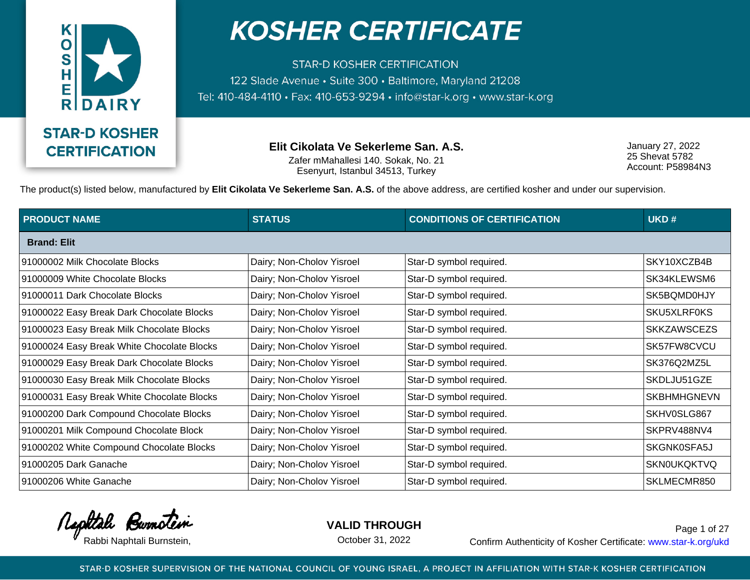

**STAR-D KOSHER CERTIFICATION** 122 Slade Avenue · Suite 300 · Baltimore, Maryland 21208 Tel: 410-484-4110 · Fax: 410-653-9294 · info@star-k.org · www.star-k.org

> **Elit Cikolata Ve Sekerleme San. A.S.** Zafer mMahallesi 140. Sokak, No. 21 Esenyurt, Istanbul 34513, Turkey

January 27, 2022 25 Shevat 5782 Account: P58984N3

The product(s) listed below, manufactured by **Elit Cikolata Ve Sekerleme San. A.S.** of the above address, are certified kosher and under our supervision.

| <b>PRODUCT NAME</b>                        | <b>STATUS</b>             | <b>CONDITIONS OF CERTIFICATION</b> | UKD#               |
|--------------------------------------------|---------------------------|------------------------------------|--------------------|
| <b>Brand: Elit</b>                         |                           |                                    |                    |
| 91000002 Milk Chocolate Blocks             | Dairy; Non-Cholov Yisroel | Star-D symbol required.            | SKY10XCZB4B        |
| 91000009 White Chocolate Blocks            | Dairy; Non-Cholov Yisroel | Star-D symbol required.            | SK34KLEWSM6        |
| 91000011 Dark Chocolate Blocks             | Dairy; Non-Cholov Yisroel | Star-D symbol required.            | SK5BQMD0HJY        |
| 91000022 Easy Break Dark Chocolate Blocks  | Dairy; Non-Cholov Yisroel | Star-D symbol required.            | SKU5XLRF0KS        |
| 91000023 Easy Break Milk Chocolate Blocks  | Dairy; Non-Cholov Yisroel | Star-D symbol required.            | <b>SKKZAWSCEZS</b> |
| 91000024 Easy Break White Chocolate Blocks | Dairy; Non-Cholov Yisroel | Star-D symbol required.            | SK57FW8CVCU        |
| 91000029 Easy Break Dark Chocolate Blocks  | Dairy; Non-Cholov Yisroel | Star-D symbol required.            | SK376Q2MZ5L        |
| 91000030 Easy Break Milk Chocolate Blocks  | Dairy; Non-Cholov Yisroel | Star-D symbol required.            | SKDLJU51GZE        |
| 91000031 Easy Break White Chocolate Blocks | Dairy; Non-Cholov Yisroel | Star-D symbol required.            | <b>SKBHMHGNEVN</b> |
| 91000200 Dark Compound Chocolate Blocks    | Dairy; Non-Cholov Yisroel | Star-D symbol required.            | SKHV0SLG867        |
| 91000201 Milk Compound Chocolate Block     | Dairy; Non-Cholov Yisroel | Star-D symbol required.            | SKPRV488NV4        |
| 91000202 White Compound Chocolate Blocks   | Dairy; Non-Cholov Yisroel | Star-D symbol required.            | SKGNK0SFA5J        |
| 91000205 Dark Ganache                      | Dairy; Non-Cholov Yisroel | Star-D symbol required.            | <b>SKN0UKQKTVQ</b> |
| 91000206 White Ganache                     | Dairy; Non-Cholov Yisroel | Star-D symbol required.            | SKLMECMR850        |

Rephtale Burnotein

**VALID THROUGH**

October 31, 2022

Rabbi Naphtali Burnstein, etc. Confirm Authenticity of Kosher Certificate: www.star-k.org/ukd Page 1 of 27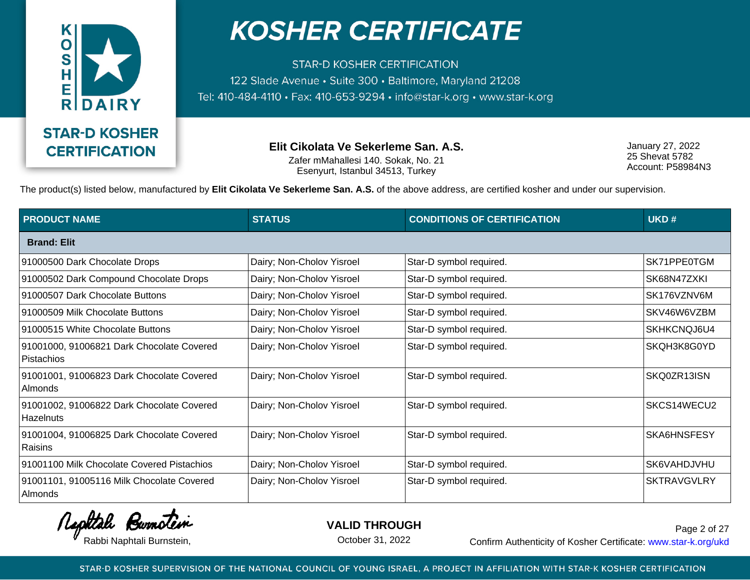

**STAR-D KOSHER CERTIFICATION** 122 Slade Avenue · Suite 300 · Baltimore, Maryland 21208 Tel: 410-484-4110 · Fax: 410-653-9294 · info@star-k.org · www.star-k.org

> **Elit Cikolata Ve Sekerleme San. A.S.** Zafer mMahallesi 140. Sokak, No. 21 Esenyurt, Istanbul 34513, Turkey

January 27, 2022 25 Shevat 5782 Account: P58984N3

The product(s) listed below, manufactured by **Elit Cikolata Ve Sekerleme San. A.S.** of the above address, are certified kosher and under our supervision.

| <b>PRODUCT NAME</b>                                            | <b>STATUS</b>             | <b>CONDITIONS OF CERTIFICATION</b> | UKD#               |
|----------------------------------------------------------------|---------------------------|------------------------------------|--------------------|
| <b>Brand: Elit</b>                                             |                           |                                    |                    |
| 91000500 Dark Chocolate Drops                                  | Dairy; Non-Cholov Yisroel | Star-D symbol required.            | SK71PPE0TGM        |
| 91000502 Dark Compound Chocolate Drops                         | Dairy; Non-Cholov Yisroel | Star-D symbol required.            | SK68N47ZXKI        |
| 91000507 Dark Chocolate Buttons                                | Dairy; Non-Cholov Yisroel | Star-D symbol required.            | SK176VZNV6M        |
| 91000509 Milk Chocolate Buttons                                | Dairy; Non-Cholov Yisroel | Star-D symbol required.            | SKV46W6VZBM        |
| 91000515 White Chocolate Buttons                               | Dairy; Non-Cholov Yisroel | Star-D symbol required.            | SKHKCNQJ6U4        |
| 91001000, 91006821 Dark Chocolate Covered<br><b>Pistachios</b> | Dairy; Non-Cholov Yisroel | Star-D symbol required.            | SKQH3K8G0YD        |
| 91001001, 91006823 Dark Chocolate Covered<br>Almonds           | Dairy; Non-Cholov Yisroel | Star-D symbol required.            | SKQ0ZR13ISN        |
| 91001002, 91006822 Dark Chocolate Covered<br>Hazelnuts         | Dairy; Non-Cholov Yisroel | Star-D symbol required.            | SKCS14WECU2        |
| 91001004, 91006825 Dark Chocolate Covered<br>Raisins           | Dairy; Non-Cholov Yisroel | Star-D symbol required.            | SKA6HNSFESY        |
| 91001100 Milk Chocolate Covered Pistachios                     | Dairy; Non-Cholov Yisroel | Star-D symbol required.            | SK6VAHDJVHU        |
| 91001101, 91005116 Milk Chocolate Covered<br>Almonds           | Dairy; Non-Cholov Yisroel | Star-D symbol required.            | <b>SKTRAVGVLRY</b> |

Rephtale Burnotein

**VALID THROUGH**

October 31, 2022

Rabbi Naphtali Burnstein, etc. Confirm Authenticity of Kosher Certificate: www.star-k.org/ukd Page 2 of 27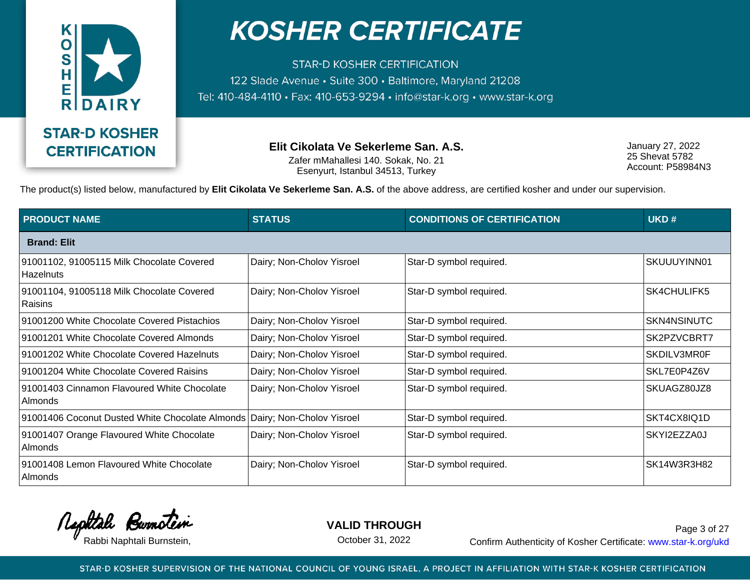

**STAR-D KOSHER CERTIFICATION** 122 Slade Avenue · Suite 300 · Baltimore, Maryland 21208 Tel: 410-484-4110 · Fax: 410-653-9294 · info@star-k.org · www.star-k.org

> **Elit Cikolata Ve Sekerleme San. A.S.** Zafer mMahallesi 140. Sokak, No. 21 Esenyurt, Istanbul 34513, Turkey

January 27, 2022 25 Shevat 5782 Account: P58984N3

The product(s) listed below, manufactured by **Elit Cikolata Ve Sekerleme San. A.S.** of the above address, are certified kosher and under our supervision.

| <b>PRODUCT NAME</b>                                         | <b>STATUS</b>             | <b>CONDITIONS OF CERTIFICATION</b> | UKD#               |
|-------------------------------------------------------------|---------------------------|------------------------------------|--------------------|
| <b>Brand: Elit</b>                                          |                           |                                    |                    |
| 91001102, 91005115 Milk Chocolate Covered<br>Hazelnuts      | Dairy; Non-Cholov Yisroel | Star-D symbol required.            | SKUUUYINN01        |
| 91001104, 91005118 Milk Chocolate Covered<br><b>Raisins</b> | Dairy; Non-Cholov Yisroel | Star-D symbol required.            | <b>SK4CHULIFK5</b> |
| 91001200 White Chocolate Covered Pistachios                 | Dairy; Non-Cholov Yisroel | Star-D symbol required.            | SKN4NSINUTC        |
| 91001201 White Chocolate Covered Almonds                    | Dairy; Non-Cholov Yisroel | Star-D symbol required.            | SK2PZVCBRT7        |
| 91001202 White Chocolate Covered Hazelnuts                  | Dairy; Non-Cholov Yisroel | Star-D symbol required.            | SKDILV3MR0F        |
| 91001204 White Chocolate Covered Raisins                    | Dairy; Non-Cholov Yisroel | Star-D symbol required.            | SKL7E0P4Z6V        |
| 91001403 Cinnamon Flavoured White Chocolate<br>Almonds      | Dairy; Non-Cholov Yisroel | Star-D symbol required.            | SKUAGZ80JZ8        |
| 91001406 Coconut Dusted White Chocolate Almonds             | Dairy; Non-Cholov Yisroel | Star-D symbol required.            | SKT4CX8IQ1D        |
| 91001407 Orange Flavoured White Chocolate<br>Almonds        | Dairy; Non-Cholov Yisroel | Star-D symbol required.            | SKYI2EZZA0J        |
| 91001408 Lemon Flavoured White Chocolate<br>Almonds         | Dairy; Non-Cholov Yisroel | Star-D symbol required.            | SK14W3R3H82        |

Rephtale Burnotein

**VALID THROUGH**

October 31, 2022

Rabbi Naphtali Burnstein, etc. Confirm Authenticity of Kosher Certificate: www.star-k.org/ukd Page 3 of 27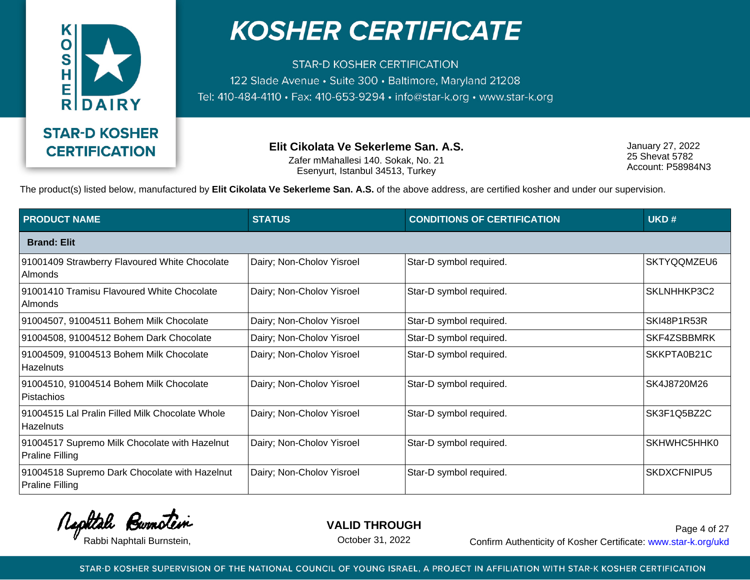

**STAR-D KOSHER CERTIFICATION** 122 Slade Avenue · Suite 300 · Baltimore, Maryland 21208 Tel: 410-484-4110 · Fax: 410-653-9294 · info@star-k.org · www.star-k.org

> **Elit Cikolata Ve Sekerleme San. A.S.** Zafer mMahallesi 140. Sokak, No. 21 Esenyurt, Istanbul 34513, Turkey

January 27, 2022 25 Shevat 5782 Account: P58984N3

The product(s) listed below, manufactured by **Elit Cikolata Ve Sekerleme San. A.S.** of the above address, are certified kosher and under our supervision.

| <b>PRODUCT NAME</b>                                                     | <b>STATUS</b>             | <b>CONDITIONS OF CERTIFICATION</b> | UKD#        |
|-------------------------------------------------------------------------|---------------------------|------------------------------------|-------------|
| <b>Brand: Elit</b>                                                      |                           |                                    |             |
| 91001409 Strawberry Flavoured White Chocolate<br>Almonds                | Dairy; Non-Cholov Yisroel | Star-D symbol required.            | SKTYQQMZEU6 |
| 91001410 Tramisu Flavoured White Chocolate<br>Almonds                   | Dairy; Non-Cholov Yisroel | Star-D symbol required.            | SKLNHHKP3C2 |
| 91004507, 91004511 Bohem Milk Chocolate                                 | Dairy; Non-Cholov Yisroel | Star-D symbol required.            | SKI48P1R53R |
| 91004508, 91004512 Bohem Dark Chocolate                                 | Dairy; Non-Cholov Yisroel | Star-D symbol required.            | SKF4ZSBBMRK |
| 91004509, 91004513 Bohem Milk Chocolate<br>Hazelnuts                    | Dairy; Non-Cholov Yisroel | Star-D symbol required.            | SKKPTA0B21C |
| 91004510, 91004514 Bohem Milk Chocolate<br>Pistachios                   | Dairy; Non-Cholov Yisroel | Star-D symbol required.            | SK4J8720M26 |
| 91004515 Lal Pralin Filled Milk Chocolate Whole<br>Hazelnuts            | Dairy; Non-Cholov Yisroel | Star-D symbol required.            | SK3F1Q5BZ2C |
| 91004517 Supremo Milk Chocolate with Hazelnut<br><b>Praline Filling</b> | Dairy; Non-Cholov Yisroel | Star-D symbol required.            | SKHWHC5HHK0 |
| 91004518 Supremo Dark Chocolate with Hazelnut<br><b>Praline Filling</b> | Dairy; Non-Cholov Yisroel | Star-D symbol required.            | SKDXCFNIPU5 |

Rephtale Burnotein

**VALID THROUGH**

October 31, 2022

Rabbi Naphtali Burnstein, The Confirm Authenticity of Kosher Certificate: www.star-k.org/ukd Page 4 of 27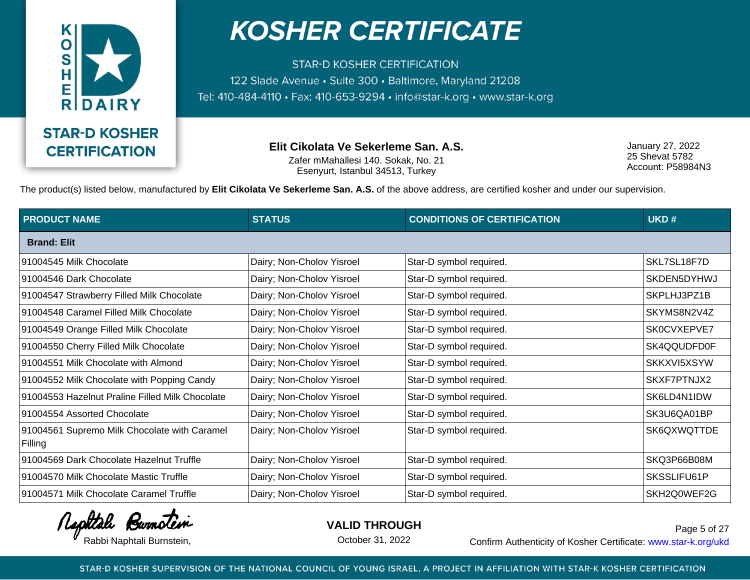

**STAR-D KOSHER CERTIFICATION** 122 Slade Avenue · Suite 300 · Baltimore, Maryland 21208 Tel: 410-484-4110 · Fax: 410-653-9294 · info@star-k.org · www.star-k.org

> **Elit Cikolata Ve Sekerleme San. A.S.** Zafer mMahallesi 140. Sokak, No. 21 Esenyurt, Istanbul 34513, Turkey

January 27, 2022 25 Shevat 5782 Account: P58984N3

The product(s) listed below, manufactured by **Elit Cikolata Ve Sekerleme San. A.S.** of the above address, are certified kosher and under our supervision.

| <b>PRODUCT NAME</b>                                     | <b>STATUS</b>             | <b>CONDITIONS OF CERTIFICATION</b> | UKD#        |
|---------------------------------------------------------|---------------------------|------------------------------------|-------------|
| <b>Brand: Elit</b>                                      |                           |                                    |             |
| 91004545 Milk Chocolate                                 | Dairy; Non-Cholov Yisroel | Star-D symbol required.            | SKL7SL18F7D |
| 91004546 Dark Chocolate                                 | Dairy; Non-Cholov Yisroel | Star-D symbol required.            | SKDEN5DYHWJ |
| 91004547 Strawberry Filled Milk Chocolate               | Dairy; Non-Cholov Yisroel | Star-D symbol required.            | SKPLHJ3PZ1B |
| 91004548 Caramel Filled Milk Chocolate                  | Dairy; Non-Cholov Yisroel | Star-D symbol required.            | SKYMS8N2V4Z |
| 91004549 Orange Filled Milk Chocolate                   | Dairy; Non-Cholov Yisroel | Star-D symbol required.            | SK0CVXEPVE7 |
| 91004550 Cherry Filled Milk Chocolate                   | Dairy; Non-Cholov Yisroel | Star-D symbol required.            | SK4QQUDFD0F |
| 91004551 Milk Chocolate with Almond                     | Dairy; Non-Cholov Yisroel | Star-D symbol required.            | SKKXVI5XSYW |
| 91004552 Milk Chocolate with Popping Candy              | Dairy; Non-Cholov Yisroel | Star-D symbol required.            | SKXF7PTNJX2 |
| 91004553 Hazelnut Praline Filled Milk Chocolate         | Dairy; Non-Cholov Yisroel | Star-D symbol required.            | SK6LD4N1IDW |
| 91004554 Assorted Chocolate                             | Dairy; Non-Cholov Yisroel | Star-D symbol required.            | SK3U6QA01BP |
| 91004561 Supremo Milk Chocolate with Caramel<br>Filling | Dairy; Non-Cholov Yisroel | Star-D symbol required.            | SK6QXWQTTDE |
| 91004569 Dark Chocolate Hazelnut Truffle                | Dairy; Non-Cholov Yisroel | Star-D symbol required.            | SKQ3P66B08M |
| 91004570 Milk Chocolate Mastic Truffle                  | Dairy; Non-Cholov Yisroel | Star-D symbol required.            | SKSSLIFU61P |
| 91004571 Milk Chocolate Caramel Truffle                 | Dairy; Non-Cholov Yisroel | Star-D symbol required.            | SKH2Q0WEF2G |

Rephtale Burnotein

**VALID THROUGH**

October 31, 2022

Rabbi Naphtali Burnstein, etc. Confirm Authenticity of Kosher Certificate: www.star-k.org/ukd Page 5 of 27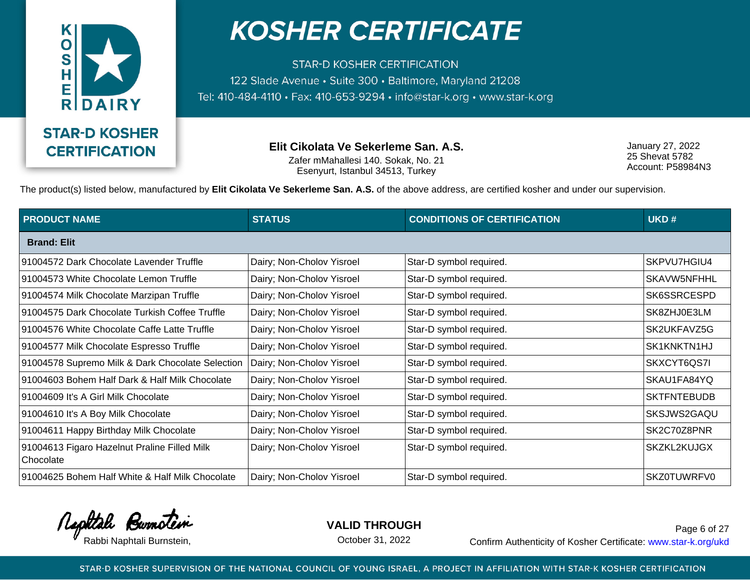

**STAR-D KOSHER CERTIFICATION** 122 Slade Avenue · Suite 300 · Baltimore, Maryland 21208 Tel: 410-484-4110 · Fax: 410-653-9294 · info@star-k.org · www.star-k.org

> **Elit Cikolata Ve Sekerleme San. A.S.** Zafer mMahallesi 140. Sokak, No. 21 Esenyurt, Istanbul 34513, Turkey

January 27, 2022 25 Shevat 5782 Account: P58984N3

The product(s) listed below, manufactured by **Elit Cikolata Ve Sekerleme San. A.S.** of the above address, are certified kosher and under our supervision.

| <b>PRODUCT NAME</b>                                       | <b>STATUS</b>             | <b>CONDITIONS OF CERTIFICATION</b> | UKD#               |
|-----------------------------------------------------------|---------------------------|------------------------------------|--------------------|
| <b>Brand: Elit</b>                                        |                           |                                    |                    |
| 91004572 Dark Chocolate Lavender Truffle                  | Dairy; Non-Cholov Yisroel | Star-D symbol required.            | SKPVU7HGIU4        |
| 91004573 White Chocolate Lemon Truffle                    | Dairy; Non-Cholov Yisroel | Star-D symbol required.            | SKAVW5NFHHL        |
| 91004574 Milk Chocolate Marzipan Truffle                  | Dairy; Non-Cholov Yisroel | Star-D symbol required.            | SK6SSRCESPD        |
| 91004575 Dark Chocolate Turkish Coffee Truffle            | Dairy; Non-Cholov Yisroel | Star-D symbol required.            | SK8ZHJ0E3LM        |
| 91004576 White Chocolate Caffe Latte Truffle              | Dairy; Non-Cholov Yisroel | Star-D symbol required.            | SK2UKFAVZ5G        |
| 91004577 Milk Chocolate Espresso Truffle                  | Dairy; Non-Cholov Yisroel | Star-D symbol required.            | SK1KNKTN1HJ        |
| 91004578 Supremo Milk & Dark Chocolate Selection          | Dairy; Non-Cholov Yisroel | Star-D symbol required.            | SKXCYT6QS7I        |
| 91004603 Bohem Half Dark & Half Milk Chocolate            | Dairy; Non-Cholov Yisroel | Star-D symbol required.            | SKAU1FA84YQ        |
| 91004609 It's A Girl Milk Chocolate                       | Dairy; Non-Cholov Yisroel | Star-D symbol required.            | <b>SKTFNTEBUDB</b> |
| 91004610 It's A Boy Milk Chocolate                        | Dairy; Non-Cholov Yisroel | Star-D symbol required.            | SKSJWS2GAQU        |
| 91004611 Happy Birthday Milk Chocolate                    | Dairy; Non-Cholov Yisroel | Star-D symbol required.            | SK2C70Z8PNR        |
| 91004613 Figaro Hazelnut Praline Filled Milk<br>Chocolate | Dairy; Non-Cholov Yisroel | Star-D symbol required.            | <b>SKZKL2KUJGX</b> |
| 91004625 Bohem Half White & Half Milk Chocolate           | Dairy; Non-Cholov Yisroel | Star-D symbol required.            | <b>SKZ0TUWRFV0</b> |

Rephtale Burnotein

**VALID THROUGH**

October 31, 2022

Rabbi Naphtali Burnstein, etc. Confirm Authenticity of Kosher Certificate: www.star-k.org/ukd Page 6 of 27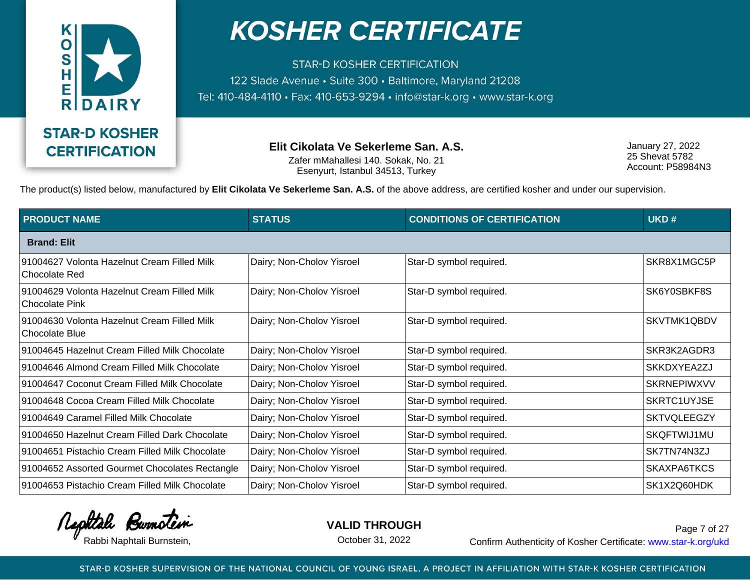

**STAR-D KOSHER CERTIFICATION** 122 Slade Avenue · Suite 300 · Baltimore, Maryland 21208 Tel: 410-484-4110 · Fax: 410-653-9294 · info@star-k.org · www.star-k.org

> **Elit Cikolata Ve Sekerleme San. A.S.** Zafer mMahallesi 140. Sokak, No. 21 Esenyurt, Istanbul 34513, Turkey

January 27, 2022 25 Shevat 5782 Account: P58984N3

The product(s) listed below, manufactured by **Elit Cikolata Ve Sekerleme San. A.S.** of the above address, are certified kosher and under our supervision.

| <b>PRODUCT NAME</b>                                                  | <b>STATUS</b>             | <b>CONDITIONS OF CERTIFICATION</b> | UKD#               |
|----------------------------------------------------------------------|---------------------------|------------------------------------|--------------------|
| <b>Brand: Elit</b>                                                   |                           |                                    |                    |
| 91004627 Volonta Hazelnut Cream Filled Milk<br><b>Chocolate Red</b>  | Dairy; Non-Cholov Yisroel | Star-D symbol required.            | SKR8X1MGC5P        |
| 91004629 Volonta Hazelnut Cream Filled Milk<br><b>Chocolate Pink</b> | Dairy; Non-Cholov Yisroel | Star-D symbol required.            | SK6Y0SBKF8S        |
| 91004630 Volonta Hazelnut Cream Filled Milk<br>Chocolate Blue        | Dairy; Non-Cholov Yisroel | Star-D symbol required.            | SKVTMK1QBDV        |
| 91004645 Hazelnut Cream Filled Milk Chocolate                        | Dairy; Non-Cholov Yisroel | Star-D symbol required.            | SKR3K2AGDR3        |
| 91004646 Almond Cream Filled Milk Chocolate                          | Dairy; Non-Cholov Yisroel | Star-D symbol required.            | SKKDXYEA2ZJ        |
| 91004647 Coconut Cream Filled Milk Chocolate                         | Dairy; Non-Cholov Yisroel | Star-D symbol required.            | <b>SKRNEPIWXVV</b> |
| 91004648 Cocoa Cream Filled Milk Chocolate                           | Dairy; Non-Cholov Yisroel | Star-D symbol required.            | SKRTC1UYJSE        |
| 91004649 Caramel Filled Milk Chocolate                               | Dairy; Non-Cholov Yisroel | Star-D symbol required.            | <b>SKTVQLEEGZY</b> |
| 91004650 Hazelnut Cream Filled Dark Chocolate                        | Dairy; Non-Cholov Yisroel | Star-D symbol required.            | SKQFTWIJ1MU        |
| 91004651 Pistachio Cream Filled Milk Chocolate                       | Dairy; Non-Cholov Yisroel | Star-D symbol required.            | SK7TN74N3ZJ        |
| 91004652 Assorted Gourmet Chocolates Rectangle                       | Dairy; Non-Cholov Yisroel | Star-D symbol required.            | SKAXPA6TKCS        |
| 91004653 Pistachio Cream Filled Milk Chocolate                       | Dairy; Non-Cholov Yisroel | Star-D symbol required.            | SK1X2Q60HDK        |

Rephtale Burnotein

**VALID THROUGH**

October 31, 2022

Rabbi Naphtali Burnstein, etc. Confirm Authenticity of Kosher Certificate: www.star-k.org/ukd Page 7 of 27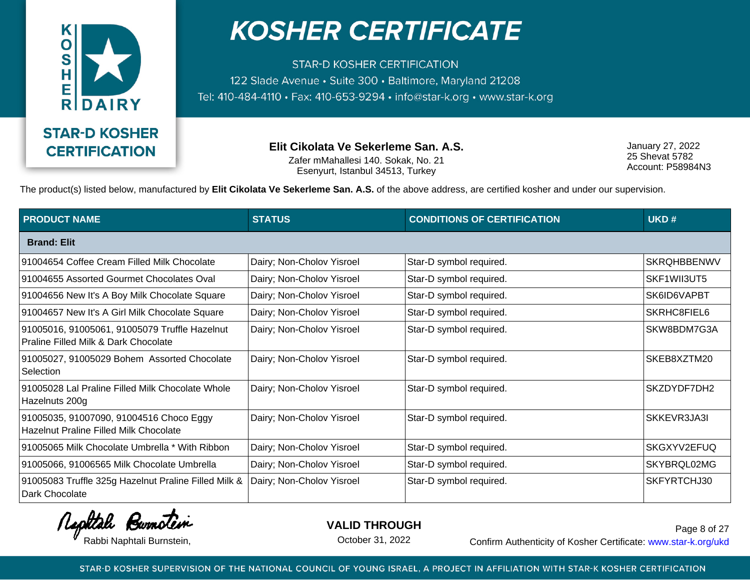

**STAR-D KOSHER CERTIFICATION** 122 Slade Avenue · Suite 300 · Baltimore, Maryland 21208 Tel: 410-484-4110 · Fax: 410-653-9294 · info@star-k.org · www.star-k.org

> **Elit Cikolata Ve Sekerleme San. A.S.** Zafer mMahallesi 140. Sokak, No. 21 Esenyurt, Istanbul 34513, Turkey

January 27, 2022 25 Shevat 5782 Account: P58984N3

The product(s) listed below, manufactured by **Elit Cikolata Ve Sekerleme San. A.S.** of the above address, are certified kosher and under our supervision.

| <b>PRODUCT NAME</b>                                                                      | <b>STATUS</b>             | <b>CONDITIONS OF CERTIFICATION</b> | UKD#               |
|------------------------------------------------------------------------------------------|---------------------------|------------------------------------|--------------------|
| <b>Brand: Elit</b>                                                                       |                           |                                    |                    |
| 91004654 Coffee Cream Filled Milk Chocolate                                              | Dairy; Non-Cholov Yisroel | Star-D symbol required.            | <b>SKROHBBENWV</b> |
| 91004655 Assorted Gourmet Chocolates Oval                                                | Dairy; Non-Cholov Yisroel | Star-D symbol required.            | SKF1WII3UT5        |
| 91004656 New It's A Boy Milk Chocolate Square                                            | Dairy; Non-Cholov Yisroel | Star-D symbol required.            | SK6ID6VAPBT        |
| 91004657 New It's A Girl Milk Chocolate Square                                           | Dairy; Non-Cholov Yisroel | Star-D symbol required.            | SKRHC8FIEL6        |
| 91005016, 91005061, 91005079 Truffle Hazelnut<br>Praline Filled Milk & Dark Chocolate    | Dairy; Non-Cholov Yisroel | Star-D symbol required.            | SKW8BDM7G3A        |
| 91005027, 91005029 Bohem Assorted Chocolate<br>Selection                                 | Dairy; Non-Cholov Yisroel | Star-D symbol required.            | SKEB8XZTM20        |
| 91005028 Lal Praline Filled Milk Chocolate Whole<br>Hazelnuts 200g                       | Dairy; Non-Cholov Yisroel | Star-D symbol required.            | SKZDYDF7DH2        |
| 91005035, 91007090, 91004516 Choco Eggy<br><b>Hazelnut Praline Filled Milk Chocolate</b> | Dairy; Non-Cholov Yisroel | Star-D symbol required.            | SKKEVR3JA3I        |
| 91005065 Milk Chocolate Umbrella * With Ribbon                                           | Dairy; Non-Cholov Yisroel | Star-D symbol required.            | SKGXYV2EFUQ        |
| 91005066, 91006565 Milk Chocolate Umbrella                                               | Dairy; Non-Cholov Yisroel | Star-D symbol required.            | SKYBRQL02MG        |
| 91005083 Truffle 325g Hazelnut Praline Filled Milk &<br>Dark Chocolate                   | Dairy; Non-Cholov Yisroel | Star-D symbol required.            | SKFYRTCHJ30        |

Rephtale Burnotein

**VALID THROUGH**

October 31, 2022

Rabbi Naphtali Burnstein, The Confirm Authenticity of Kosher Certificate: www.star-k.org/ukd Page 8 of 27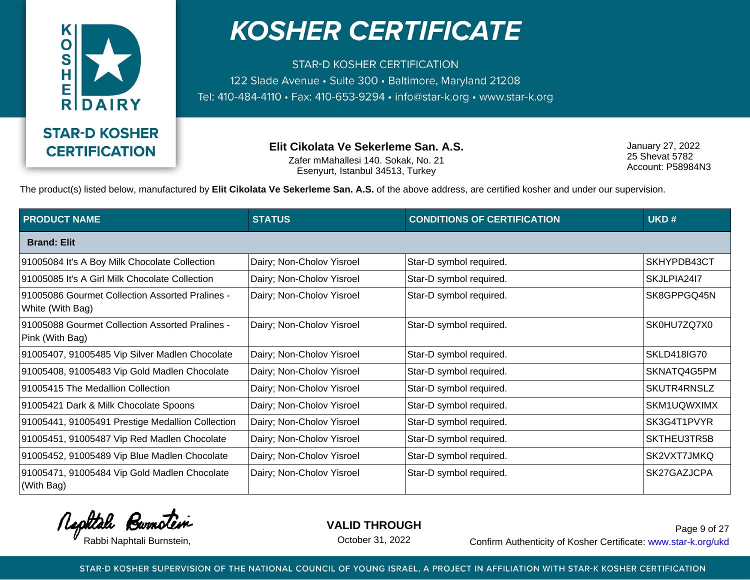

**STAR-D KOSHER CERTIFICATION** 122 Slade Avenue · Suite 300 · Baltimore, Maryland 21208 Tel: 410-484-4110 · Fax: 410-653-9294 · info@star-k.org · www.star-k.org

> **Elit Cikolata Ve Sekerleme San. A.S.** Zafer mMahallesi 140. Sokak, No. 21 Esenyurt, Istanbul 34513, Turkey

January 27, 2022 25 Shevat 5782 Account: P58984N3

The product(s) listed below, manufactured by **Elit Cikolata Ve Sekerleme San. A.S.** of the above address, are certified kosher and under our supervision.

| <b>PRODUCT NAME</b>                                                 | <b>STATUS</b>             | <b>CONDITIONS OF CERTIFICATION</b> | UKD#               |
|---------------------------------------------------------------------|---------------------------|------------------------------------|--------------------|
| <b>Brand: Elit</b>                                                  |                           |                                    |                    |
| 91005084 It's A Boy Milk Chocolate Collection                       | Dairy; Non-Cholov Yisroel | Star-D symbol required.            | SKHYPDB43CT        |
| 91005085 It's A Girl Milk Chocolate Collection                      | Dairy; Non-Cholov Yisroel | Star-D symbol required.            | SKJLPIA2417        |
| 91005086 Gourmet Collection Assorted Pralines -<br>White (With Bag) | Dairy; Non-Cholov Yisroel | Star-D symbol required.            | SK8GPPGQ45N        |
| 91005088 Gourmet Collection Assorted Pralines -<br>Pink (With Bag)  | Dairy; Non-Cholov Yisroel | Star-D symbol required.            | SK0HU7ZQ7X0        |
| 91005407, 91005485 Vip Silver Madlen Chocolate                      | Dairy; Non-Cholov Yisroel | Star-D symbol required.            | <b>SKLD418IG70</b> |
| 91005408, 91005483 Vip Gold Madlen Chocolate                        | Dairy; Non-Cholov Yisroel | Star-D symbol required.            | SKNATQ4G5PM        |
| 91005415 The Medallion Collection                                   | Dairy; Non-Cholov Yisroel | Star-D symbol required.            | SKUTR4RNSLZ        |
| 91005421 Dark & Milk Chocolate Spoons                               | Dairy; Non-Cholov Yisroel | Star-D symbol required.            | SKM1UQWXIMX        |
| 91005441, 91005491 Prestige Medallion Collection                    | Dairy; Non-Cholov Yisroel | Star-D symbol required.            | SK3G4T1PVYR        |
| 91005451, 91005487 Vip Red Madlen Chocolate                         | Dairy; Non-Cholov Yisroel | Star-D symbol required.            | SKTHEU3TR5B        |
| 91005452, 91005489 Vip Blue Madlen Chocolate                        | Dairy; Non-Cholov Yisroel | Star-D symbol required.            | SK2VXT7JMKQ        |
| 91005471, 91005484 Vip Gold Madlen Chocolate<br>(With Bag)          | Dairy; Non-Cholov Yisroel | Star-D symbol required.            | SK27GAZJCPA        |

Rephtale Burnotein

**VALID THROUGH**

October 31, 2022

Rabbi Naphtali Burnstein, etc. Confirm Authenticity of Kosher Certificate: www.star-k.org/ukd Page 9 of 27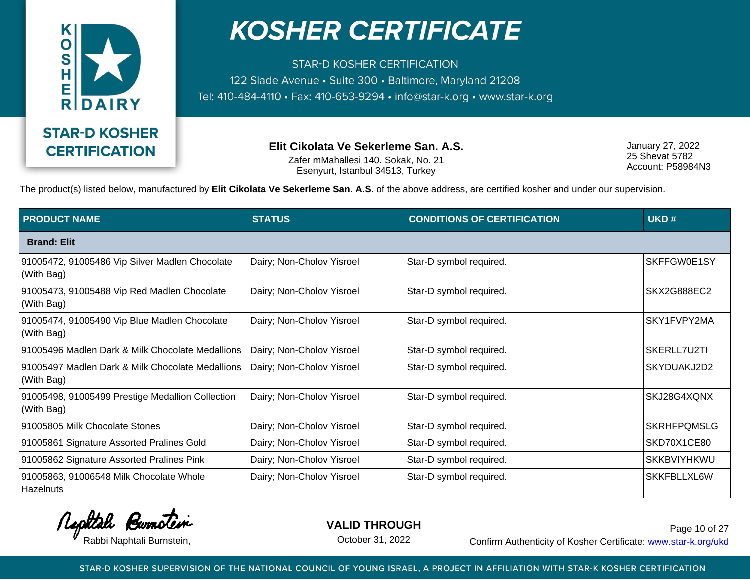

**STAR-D KOSHER CERTIFICATION** 122 Slade Avenue · Suite 300 · Baltimore, Maryland 21208 Tel: 410-484-4110 · Fax: 410-653-9294 · info@star-k.org · www.star-k.org

> **Elit Cikolata Ve Sekerleme San. A.S.** Zafer mMahallesi 140. Sokak, No. 21 Esenyurt, Istanbul 34513, Turkey

January 27, 2022 25 Shevat 5782 Account: P58984N3

The product(s) listed below, manufactured by **Elit Cikolata Ve Sekerleme San. A.S.** of the above address, are certified kosher and under our supervision.

| <b>PRODUCT NAME</b>                                            | <b>STATUS</b>             | <b>CONDITIONS OF CERTIFICATION</b> | UKD#               |
|----------------------------------------------------------------|---------------------------|------------------------------------|--------------------|
| <b>Brand: Elit</b>                                             |                           |                                    |                    |
| 91005472, 91005486 Vip Silver Madlen Chocolate<br>(With Bag)   | Dairy; Non-Cholov Yisroel | Star-D symbol required.            | SKFFGW0E1SY        |
| 91005473, 91005488 Vip Red Madlen Chocolate<br>(With Bag)      | Dairy; Non-Cholov Yisroel | Star-D symbol required.            | SKX2G888EC2        |
| 91005474, 91005490 Vip Blue Madlen Chocolate<br>(With Bag)     | Dairy; Non-Cholov Yisroel | Star-D symbol required.            | SKY1FVPY2MA        |
| 91005496 Madlen Dark & Milk Chocolate Medallions               | Dairy; Non-Cholov Yisroel | Star-D symbol required.            | SKERLL7U2TI        |
| 91005497 Madlen Dark & Milk Chocolate Medallions<br>(With Bag) | Dairy; Non-Cholov Yisroel | Star-D symbol required.            | SKYDUAKJ2D2        |
| 91005498, 91005499 Prestige Medallion Collection<br>(With Bag) | Dairy; Non-Cholov Yisroel | Star-D symbol required.            | SKJ28G4XQNX        |
| 91005805 Milk Chocolate Stones                                 | Dairy; Non-Cholov Yisroel | Star-D symbol required.            | <b>SKRHFPQMSLG</b> |
| 91005861 Signature Assorted Pralines Gold                      | Dairy; Non-Cholov Yisroel | Star-D symbol required.            | SKD70X1CE80        |
| 91005862 Signature Assorted Pralines Pink                      | Dairy; Non-Cholov Yisroel | Star-D symbol required.            | <b>SKKBVIYHKWU</b> |
| 91005863, 91006548 Milk Chocolate Whole<br>Hazelnuts           | Dairy; Non-Cholov Yisroel | Star-D symbol required.            | SKKFBLLXL6W        |

Rephtale Burnotein

**VALID THROUGH**

October 31, 2022

Rabbi Naphtali Burnstein, etc. Confirm Authenticity of Kosher Certificate: www.star-k.org/ukd Page 10 of 27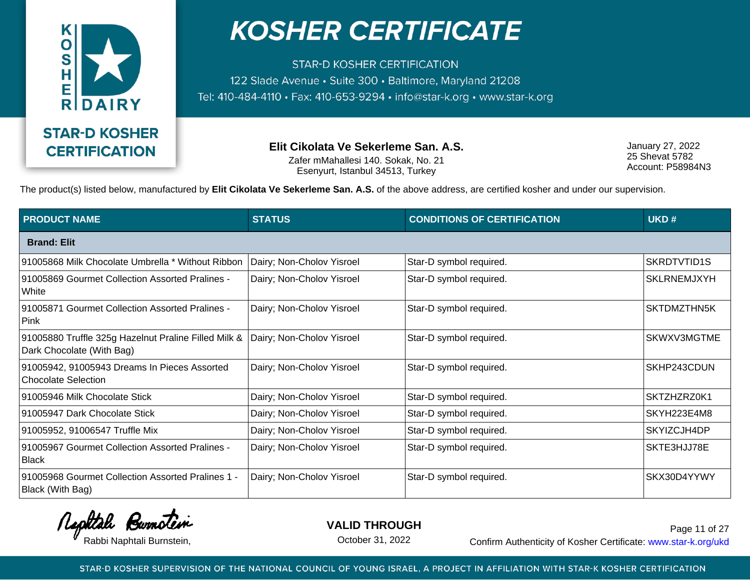

**STAR-D KOSHER CERTIFICATION** 122 Slade Avenue · Suite 300 · Baltimore, Maryland 21208 Tel: 410-484-4110 · Fax: 410-653-9294 · info@star-k.org · www.star-k.org

> **Elit Cikolata Ve Sekerleme San. A.S.** Zafer mMahallesi 140. Sokak, No. 21 Esenyurt, Istanbul 34513, Turkey

January 27, 2022 25 Shevat 5782 Account: P58984N3

The product(s) listed below, manufactured by **Elit Cikolata Ve Sekerleme San. A.S.** of the above address, are certified kosher and under our supervision.

| <b>PRODUCT NAME</b>                                                               | <b>STATUS</b>             | <b>CONDITIONS OF CERTIFICATION</b> | UKD#               |
|-----------------------------------------------------------------------------------|---------------------------|------------------------------------|--------------------|
| <b>Brand: Elit</b>                                                                |                           |                                    |                    |
| 91005868 Milk Chocolate Umbrella * Without Ribbon                                 | Dairy; Non-Cholov Yisroel | Star-D symbol required.            | SKRDTVTID1S        |
| 91005869 Gourmet Collection Assorted Pralines -<br>White                          | Dairy; Non-Cholov Yisroel | Star-D symbol required.            | <b>SKLRNEMJXYH</b> |
| 91005871 Gourmet Collection Assorted Pralines -<br>Pink                           | Dairy; Non-Cholov Yisroel | Star-D symbol required.            | SKTDMZTHN5K        |
| 91005880 Truffle 325g Hazelnut Praline Filled Milk &<br>Dark Chocolate (With Bag) | Dairy; Non-Cholov Yisroel | Star-D symbol required.            | SKWXV3MGTME        |
| 91005942, 91005943 Dreams In Pieces Assorted<br><b>Chocolate Selection</b>        | Dairy; Non-Cholov Yisroel | Star-D symbol required.            | SKHP243CDUN        |
| 91005946 Milk Chocolate Stick                                                     | Dairy; Non-Cholov Yisroel | Star-D symbol required.            | SKTZHZRZ0K1        |
| 91005947 Dark Chocolate Stick                                                     | Dairy; Non-Cholov Yisroel | Star-D symbol required.            | SKYH223E4M8        |
| 91005952, 91006547 Truffle Mix                                                    | Dairy; Non-Cholov Yisroel | Star-D symbol required.            | SKYIZCJH4DP        |
| 91005967 Gourmet Collection Assorted Pralines -<br>Black                          | Dairy; Non-Cholov Yisroel | Star-D symbol required.            | SKTE3HJJ78E        |
| 91005968 Gourmet Collection Assorted Pralines 1 -<br>Black (With Bag)             | Dairy; Non-Cholov Yisroel | Star-D symbol required.            | SKX30D4YYWY        |

Rephtale Burnotein

**VALID THROUGH**

October 31, 2022

Rabbi Naphtali Burnstein, etc. Confirm Authenticity of Kosher Certificate: www.star-k.org/ukd Page 11 of 27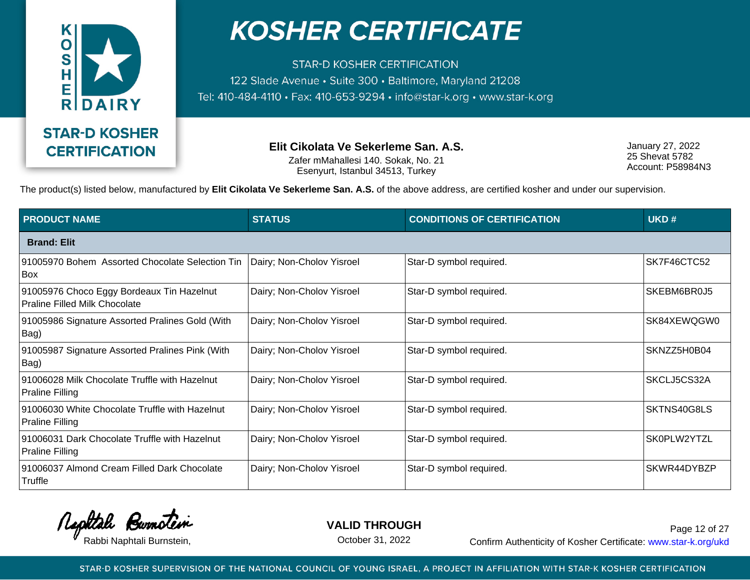

**STAR-D KOSHER CERTIFICATION** 122 Slade Avenue · Suite 300 · Baltimore, Maryland 21208 Tel: 410-484-4110 · Fax: 410-653-9294 · info@star-k.org · www.star-k.org

> **Elit Cikolata Ve Sekerleme San. A.S.** Zafer mMahallesi 140. Sokak, No. 21 Esenyurt, Istanbul 34513, Turkey

January 27, 2022 25 Shevat 5782 Account: P58984N3

The product(s) listed below, manufactured by **Elit Cikolata Ve Sekerleme San. A.S.** of the above address, are certified kosher and under our supervision.

| <b>PRODUCT NAME</b>                                                               | <b>STATUS</b>             | <b>CONDITIONS OF CERTIFICATION</b> | UKD#        |
|-----------------------------------------------------------------------------------|---------------------------|------------------------------------|-------------|
| <b>Brand: Elit</b>                                                                |                           |                                    |             |
| 91005970 Bohem Assorted Chocolate Selection Tin<br><b>Box</b>                     | Dairy; Non-Cholov Yisroel | Star-D symbol required.            | SK7F46CTC52 |
| 91005976 Choco Eggy Bordeaux Tin Hazelnut<br><b>Praline Filled Milk Chocolate</b> | Dairy; Non-Cholov Yisroel | Star-D symbol required.            | SKEBM6BR0J5 |
| 91005986 Signature Assorted Pralines Gold (With<br>Bag)                           | Dairy; Non-Cholov Yisroel | Star-D symbol required.            | SK84XEWQGW0 |
| 91005987 Signature Assorted Pralines Pink (With<br>Bag)                           | Dairy; Non-Cholov Yisroel | Star-D symbol required.            | SKNZZ5H0B04 |
| 91006028 Milk Chocolate Truffle with Hazelnut<br><b>Praline Filling</b>           | Dairy; Non-Cholov Yisroel | Star-D symbol required.            | SKCLJ5CS32A |
| 91006030 White Chocolate Truffle with Hazelnut<br>Praline Filling                 | Dairy; Non-Cholov Yisroel | Star-D symbol required.            | SKTNS40G8LS |
| 91006031 Dark Chocolate Truffle with Hazelnut<br><b>Praline Filling</b>           | Dairy; Non-Cholov Yisroel | Star-D symbol required.            | SK0PLW2YTZL |
| 91006037 Almond Cream Filled Dark Chocolate<br>Truffle                            | Dairy; Non-Cholov Yisroel | Star-D symbol required.            | SKWR44DYBZP |

Rephtale Burnotein

**VALID THROUGH**

October 31, 2022

Rabbi Naphtali Burnstein, etc. Confirm Authenticity of Kosher Certificate: www.star-k.org/ukd Page 12 of 27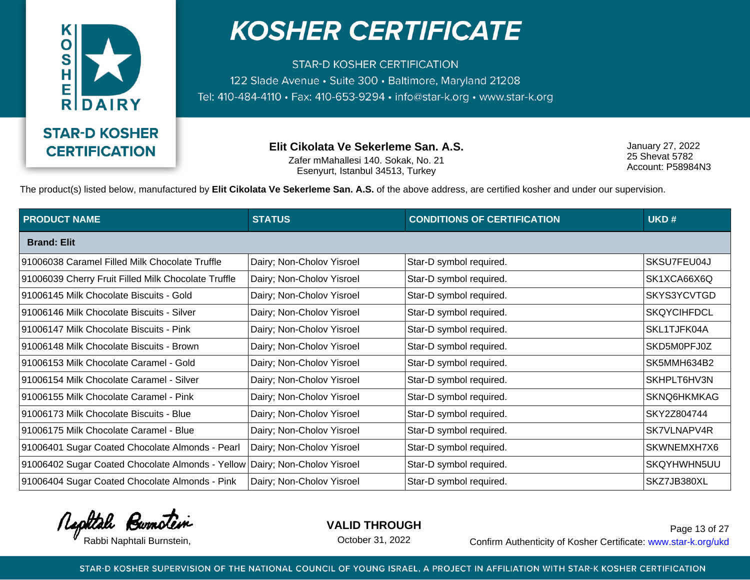

**STAR-D KOSHER CERTIFICATION** 122 Slade Avenue · Suite 300 · Baltimore, Maryland 21208 Tel: 410-484-4110 · Fax: 410-653-9294 · info@star-k.org · www.star-k.org

> **Elit Cikolata Ve Sekerleme San. A.S.** Zafer mMahallesi 140. Sokak, No. 21 Esenyurt, Istanbul 34513, Turkey

January 27, 2022 25 Shevat 5782 Account: P58984N3

The product(s) listed below, manufactured by **Elit Cikolata Ve Sekerleme San. A.S.** of the above address, are certified kosher and under our supervision.

| <b>PRODUCT NAME</b>                                 | <b>STATUS</b>             | <b>CONDITIONS OF CERTIFICATION</b> | UKD#               |
|-----------------------------------------------------|---------------------------|------------------------------------|--------------------|
| <b>Brand: Elit</b>                                  |                           |                                    |                    |
| 91006038 Caramel Filled Milk Chocolate Truffle      | Dairy; Non-Cholov Yisroel | Star-D symbol required.            | SKSU7FEU04J        |
| 91006039 Cherry Fruit Filled Milk Chocolate Truffle | Dairy; Non-Cholov Yisroel | Star-D symbol required.            | SK1XCA66X6Q        |
| 91006145 Milk Chocolate Biscuits - Gold             | Dairy; Non-Cholov Yisroel | Star-D symbol required.            | SKYS3YCVTGD        |
| 91006146 Milk Chocolate Biscuits - Silver           | Dairy; Non-Cholov Yisroel | Star-D symbol required.            | <b>SKQYCIHFDCL</b> |
| 91006147 Milk Chocolate Biscuits - Pink             | Dairy; Non-Cholov Yisroel | Star-D symbol required.            | SKL1TJFK04A        |
| 91006148 Milk Chocolate Biscuits - Brown            | Dairy; Non-Cholov Yisroel | Star-D symbol required.            | SKD5M0PFJ0Z        |
| 91006153 Milk Chocolate Caramel - Gold              | Dairy; Non-Cholov Yisroel | Star-D symbol required.            | SK5MMH634B2        |
| 91006154 Milk Chocolate Caramel - Silver            | Dairy; Non-Cholov Yisroel | Star-D symbol required.            | SKHPLT6HV3N        |
| 91006155 Milk Chocolate Caramel - Pink              | Dairy; Non-Cholov Yisroel | Star-D symbol required.            | SKNQ6HKMKAG        |
| 91006173 Milk Chocolate Biscuits - Blue             | Dairy; Non-Cholov Yisroel | Star-D symbol required.            | SKY2Z804744        |
| 91006175 Milk Chocolate Caramel - Blue              | Dairy; Non-Cholov Yisroel | Star-D symbol required.            | SK7VLNAPV4R        |
| 91006401 Sugar Coated Chocolate Almonds - Pearl     | Dairy; Non-Cholov Yisroel | Star-D symbol required.            | SKWNEMXH7X6        |
| 91006402 Sugar Coated Chocolate Almonds - Yellow    | Dairy; Non-Cholov Yisroel | Star-D symbol required.            | SKQYHWHN5UU        |
| 91006404 Sugar Coated Chocolate Almonds - Pink      | Dairy; Non-Cholov Yisroel | Star-D symbol required.            | SKZ7JB380XL        |

Rephtale Burnotein

**VALID THROUGH**

October 31, 2022

Rabbi Naphtali Burnstein, etc. Confirm Authenticity of Kosher Certificate: www.star-k.org/ukd Page 13 of 27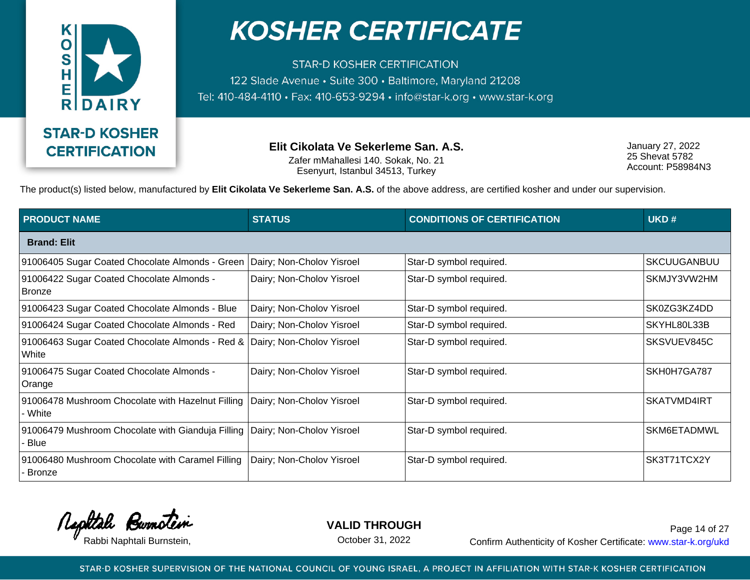

**STAR-D KOSHER CERTIFICATION** 122 Slade Avenue · Suite 300 · Baltimore, Maryland 21208 Tel: 410-484-4110 · Fax: 410-653-9294 · info@star-k.org · www.star-k.org

> **Elit Cikolata Ve Sekerleme San. A.S.** Zafer mMahallesi 140. Sokak, No. 21 Esenyurt, Istanbul 34513, Turkey

January 27, 2022 25 Shevat 5782 Account: P58984N3

The product(s) listed below, manufactured by **Elit Cikolata Ve Sekerleme San. A.S.** of the above address, are certified kosher and under our supervision.

| <b>PRODUCT NAME</b>                                               | <b>STATUS</b>             | <b>CONDITIONS OF CERTIFICATION</b> | UKD#               |
|-------------------------------------------------------------------|---------------------------|------------------------------------|--------------------|
| <b>Brand: Elit</b>                                                |                           |                                    |                    |
| 91006405 Sugar Coated Chocolate Almonds - Green                   | Dairy; Non-Cholov Yisroel | Star-D symbol required.            | <b>SKCUUGANBUU</b> |
| 91006422 Sugar Coated Chocolate Almonds -<br><b>Bronze</b>        | Dairy; Non-Cholov Yisroel | Star-D symbol required.            | SKMJY3VW2HM        |
| 91006423 Sugar Coated Chocolate Almonds - Blue                    | Dairy; Non-Cholov Yisroel | Star-D symbol required.            | SK0ZG3KZ4DD        |
| 91006424 Sugar Coated Chocolate Almonds - Red                     | Dairy; Non-Cholov Yisroel | Star-D symbol required.            | SKYHL80L33B        |
| 91006463 Sugar Coated Chocolate Almonds - Red &<br>White          | Dairy; Non-Cholov Yisroel | Star-D symbol required.            | SKSVUEV845C        |
| 91006475 Sugar Coated Chocolate Almonds -<br>Orange               | Dairy; Non-Cholov Yisroel | Star-D symbol required.            | SKH0H7GA787        |
| 91006478 Mushroom Chocolate with Hazelnut Filling<br>- White      | Dairy; Non-Cholov Yisroel | Star-D symbol required.            | <b>SKATVMD4IRT</b> |
| 91006479 Mushroom Chocolate with Gianduja Filling<br>Blue         | Dairy; Non-Cholov Yisroel | Star-D symbol required.            | SKM6ETADMWL        |
| 91006480 Mushroom Chocolate with Caramel Filling<br><b>Bronze</b> | Dairy; Non-Cholov Yisroel | Star-D symbol required.            | SK3T71TCX2Y        |

Rephtale Bumotein

**VALID THROUGH**

October 31, 2022

Rabbi Naphtali Burnstein, The Confirm Authenticity of Kosher Certificate: www.star-k.org/ukd Page 14 of 27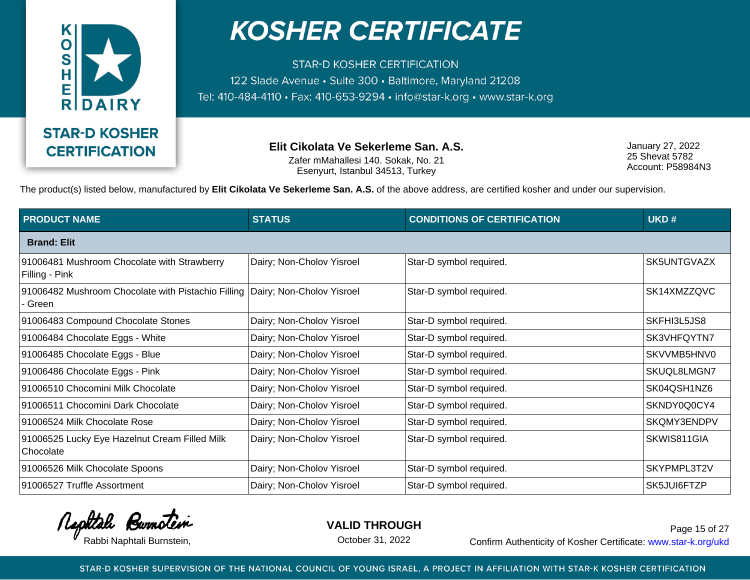

**STAR-D KOSHER CERTIFICATION** 122 Slade Avenue · Suite 300 · Baltimore, Maryland 21208 Tel: 410-484-4110 · Fax: 410-653-9294 · info@star-k.org · www.star-k.org

> **Elit Cikolata Ve Sekerleme San. A.S.** Zafer mMahallesi 140. Sokak, No. 21 Esenyurt, Istanbul 34513, Turkey

January 27, 2022 25 Shevat 5782 Account: P58984N3

The product(s) listed below, manufactured by **Elit Cikolata Ve Sekerleme San. A.S.** of the above address, are certified kosher and under our supervision.

| <b>PRODUCT NAME</b>                                                                     | <b>STATUS</b>             | <b>CONDITIONS OF CERTIFICATION</b> | UKD#        |
|-----------------------------------------------------------------------------------------|---------------------------|------------------------------------|-------------|
| <b>Brand: Elit</b>                                                                      |                           |                                    |             |
| 91006481 Mushroom Chocolate with Strawberry<br>Filling - Pink                           | Dairy; Non-Cholov Yisroel | Star-D symbol required.            | SK5UNTGVAZX |
| 91006482 Mushroom Chocolate with Pistachio Filling Dairy; Non-Cholov Yisroel<br>- Green |                           | Star-D symbol required.            | SK14XMZZQVC |
| 91006483 Compound Chocolate Stones                                                      | Dairy; Non-Cholov Yisroel | Star-D symbol required.            | SKFHI3L5JS8 |
| 91006484 Chocolate Eggs - White                                                         | Dairy; Non-Cholov Yisroel | Star-D symbol required.            | SK3VHFQYTN7 |
| 91006485 Chocolate Eggs - Blue                                                          | Dairy; Non-Cholov Yisroel | Star-D symbol required.            | SKVVMB5HNV0 |
| 91006486 Chocolate Eggs - Pink                                                          | Dairy; Non-Cholov Yisroel | Star-D symbol required.            | SKUQL8LMGN7 |
| 91006510 Chocomini Milk Chocolate                                                       | Dairy; Non-Cholov Yisroel | Star-D symbol required.            | SK04QSH1NZ6 |
| 91006511 Chocomini Dark Chocolate                                                       | Dairy; Non-Cholov Yisroel | Star-D symbol required.            | SKNDY0Q0CY4 |
| 91006524 Milk Chocolate Rose                                                            | Dairy; Non-Cholov Yisroel | Star-D symbol required.            | SKQMY3ENDPV |
| 91006525 Lucky Eye Hazelnut Cream Filled Milk<br>Chocolate                              | Dairy; Non-Cholov Yisroel | Star-D symbol required.            | SKWIS811GIA |
| 91006526 Milk Chocolate Spoons                                                          | Dairy; Non-Cholov Yisroel | Star-D symbol required.            | SKYPMPL3T2V |
| 91006527 Truffle Assortment                                                             | Dairy; Non-Cholov Yisroel | Star-D symbol required.            | SK5JUI6FTZP |

Rephtale Bumotein

**VALID THROUGH**

October 31, 2022

Rabbi Naphtali Burnstein, The Confirm Authenticity of Kosher Certificate: www.star-k.org/ukd Page 15 of 27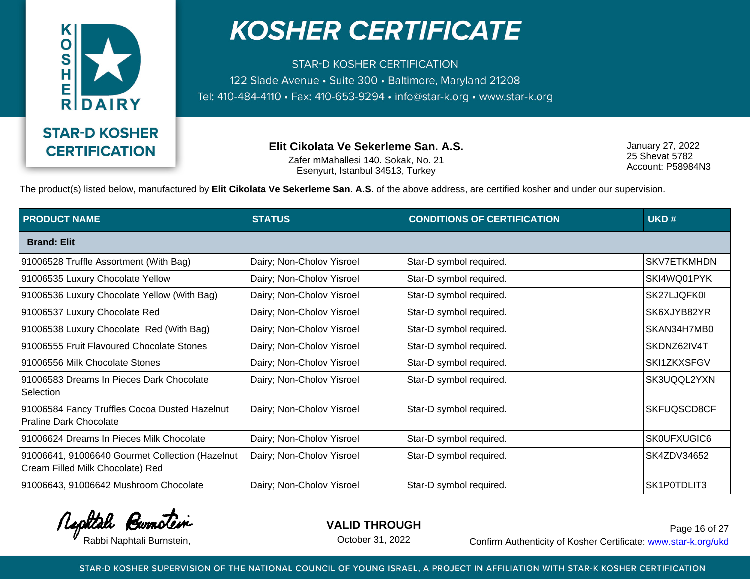

**STAR-D KOSHER CERTIFICATION** 122 Slade Avenue · Suite 300 · Baltimore, Maryland 21208 Tel: 410-484-4110 · Fax: 410-653-9294 · info@star-k.org · www.star-k.org

> **Elit Cikolata Ve Sekerleme San. A.S.** Zafer mMahallesi 140. Sokak, No. 21 Esenyurt, Istanbul 34513, Turkey

January 27, 2022 25 Shevat 5782 Account: P58984N3

The product(s) listed below, manufactured by **Elit Cikolata Ve Sekerleme San. A.S.** of the above address, are certified kosher and under our supervision.

| <b>PRODUCT NAME</b>                                                                 | <b>STATUS</b>             | <b>CONDITIONS OF CERTIFICATION</b> | UKD#               |
|-------------------------------------------------------------------------------------|---------------------------|------------------------------------|--------------------|
| <b>Brand: Elit</b>                                                                  |                           |                                    |                    |
| 91006528 Truffle Assortment (With Bag)                                              | Dairy; Non-Cholov Yisroel | Star-D symbol required.            | <b>SKV7ETKMHDN</b> |
| 91006535 Luxury Chocolate Yellow                                                    | Dairy; Non-Cholov Yisroel | Star-D symbol required.            | SKI4WQ01PYK        |
| 91006536 Luxury Chocolate Yellow (With Bag)                                         | Dairy; Non-Cholov Yisroel | Star-D symbol required.            | SK27LJQFK0I        |
| 91006537 Luxury Chocolate Red                                                       | Dairy; Non-Cholov Yisroel | Star-D symbol required.            | SK6XJYB82YR        |
| 91006538 Luxury Chocolate Red (With Bag)                                            | Dairy; Non-Cholov Yisroel | Star-D symbol required.            | SKAN34H7MB0        |
| 91006555 Fruit Flavoured Chocolate Stones                                           | Dairy; Non-Cholov Yisroel | Star-D symbol required.            | SKDNZ62IV4T        |
| 91006556 Milk Chocolate Stones                                                      | Dairy; Non-Cholov Yisroel | Star-D symbol required.            | SKI1ZKXSFGV        |
| 91006583 Dreams In Pieces Dark Chocolate<br>Selection                               | Dairy; Non-Cholov Yisroel | Star-D symbol required.            | SK3UQQL2YXN        |
| 91006584 Fancy Truffles Cocoa Dusted Hazelnut<br><b>Praline Dark Chocolate</b>      | Dairy; Non-Cholov Yisroel | Star-D symbol required.            | SKFUQSCD8CF        |
| 91006624 Dreams In Pieces Milk Chocolate                                            | Dairy; Non-Cholov Yisroel | Star-D symbol required.            | SK0UFXUGIC6        |
| 91006641, 91006640 Gourmet Collection (Hazelnut<br>Cream Filled Milk Chocolate) Red | Dairy; Non-Cholov Yisroel | Star-D symbol required.            | SK4ZDV34652        |
| 91006643, 91006642 Mushroom Chocolate                                               | Dairy; Non-Cholov Yisroel | Star-D symbol required.            | SK1P0TDLIT3        |

Rephtale Bumotein

**VALID THROUGH**

October 31, 2022

Rabbi Naphtali Burnstein, The Confirm Authenticity of Kosher Certificate: www.star-k.org/ukd Page 16 of 27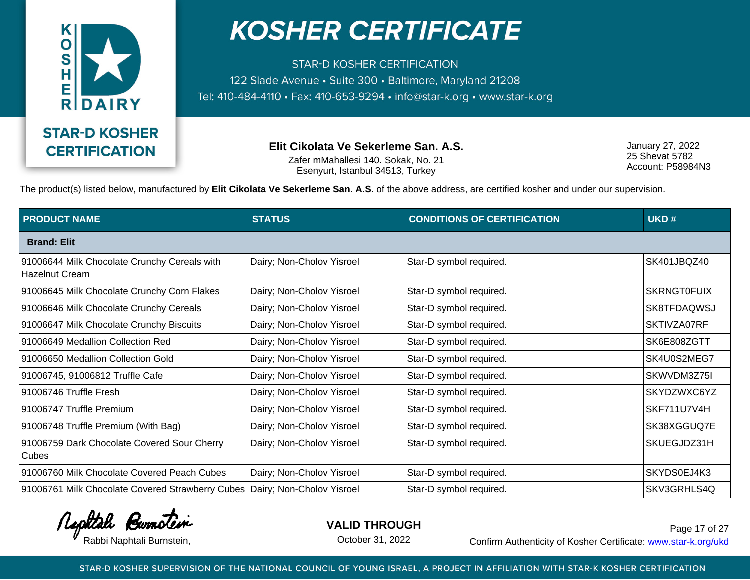

**STAR-D KOSHER CERTIFICATION** 122 Slade Avenue · Suite 300 · Baltimore, Maryland 21208 Tel: 410-484-4110 · Fax: 410-653-9294 · info@star-k.org · www.star-k.org

> **Elit Cikolata Ve Sekerleme San. A.S.** Zafer mMahallesi 140. Sokak, No. 21 Esenyurt, Istanbul 34513, Turkey

January 27, 2022 25 Shevat 5782 Account: P58984N3

The product(s) listed below, manufactured by **Elit Cikolata Ve Sekerleme San. A.S.** of the above address, are certified kosher and under our supervision.

| <b>PRODUCT NAME</b>                                                        | <b>STATUS</b>             | <b>CONDITIONS OF CERTIFICATION</b> | UKD#               |
|----------------------------------------------------------------------------|---------------------------|------------------------------------|--------------------|
| <b>Brand: Elit</b>                                                         |                           |                                    |                    |
| 91006644 Milk Chocolate Crunchy Cereals with<br><b>Hazelnut Cream</b>      | Dairy; Non-Cholov Yisroel | Star-D symbol required.            | SK401JBQZ40        |
| 91006645 Milk Chocolate Crunchy Corn Flakes                                | Dairy; Non-Cholov Yisroel | Star-D symbol required.            | <b>SKRNGTOFUIX</b> |
| 91006646 Milk Chocolate Crunchy Cereals                                    | Dairy; Non-Cholov Yisroel | Star-D symbol required.            | <b>SK8TFDAQWSJ</b> |
| 91006647 Milk Chocolate Crunchy Biscuits                                   | Dairy; Non-Cholov Yisroel | Star-D symbol required.            | SKTIVZA07RF        |
| 91006649 Medallion Collection Red                                          | Dairy; Non-Cholov Yisroel | Star-D symbol required.            | SK6E808ZGTT        |
| 91006650 Medallion Collection Gold                                         | Dairy; Non-Cholov Yisroel | Star-D symbol required.            | SK4U0S2MEG7        |
| 91006745, 91006812 Truffle Cafe                                            | Dairy; Non-Cholov Yisroel | Star-D symbol required.            | SKWVDM3Z75I        |
| 91006746 Truffle Fresh                                                     | Dairy; Non-Cholov Yisroel | Star-D symbol required.            | SKYDZWXC6YZ        |
| 91006747 Truffle Premium                                                   | Dairy; Non-Cholov Yisroel | Star-D symbol required.            | SKF711U7V4H        |
| 91006748 Truffle Premium (With Bag)                                        | Dairy; Non-Cholov Yisroel | Star-D symbol required.            | SK38XGGUQ7E        |
| 91006759 Dark Chocolate Covered Sour Cherry<br>Cubes                       | Dairy; Non-Cholov Yisroel | Star-D symbol required.            | SKUEGJDZ31H        |
| 91006760 Milk Chocolate Covered Peach Cubes                                | Dairy; Non-Cholov Yisroel | Star-D symbol required.            | SKYDS0EJ4K3        |
| 91006761 Milk Chocolate Covered Strawberry Cubes Dairy; Non-Cholov Yisroel |                           | Star-D symbol required.            | SKV3GRHLS4Q        |

Rephtale Burnotein

**VALID THROUGH**

October 31, 2022

Rabbi Naphtali Burnstein, etc. Confirm Authenticity of Kosher Certificate: www.star-k.org/ukd Page 17 of 27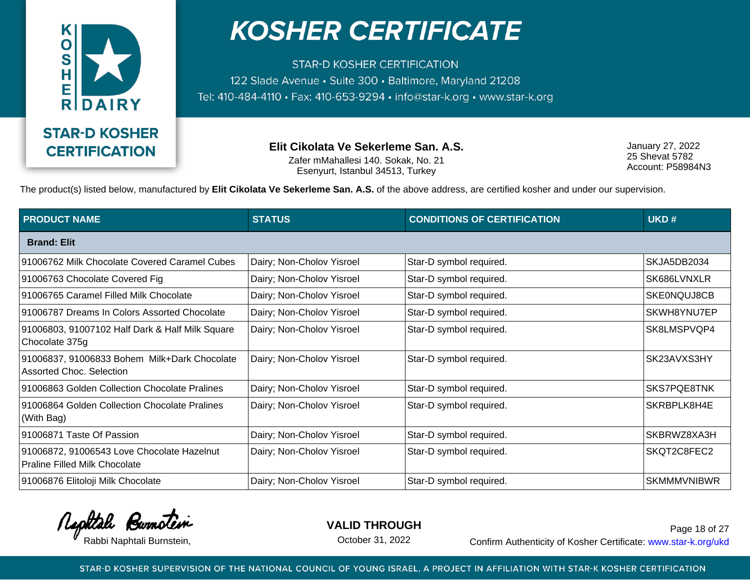

**STAR-D KOSHER CERTIFICATION** 122 Slade Avenue · Suite 300 · Baltimore, Maryland 21208 Tel: 410-484-4110 · Fax: 410-653-9294 · info@star-k.org · www.star-k.org

> **Elit Cikolata Ve Sekerleme San. A.S.** Zafer mMahallesi 140. Sokak, No. 21 Esenyurt, Istanbul 34513, Turkey

January 27, 2022 25 Shevat 5782 Account: P58984N3

The product(s) listed below, manufactured by **Elit Cikolata Ve Sekerleme San. A.S.** of the above address, are certified kosher and under our supervision.

| <b>PRODUCT NAME</b>                                                                | <b>STATUS</b>             | <b>CONDITIONS OF CERTIFICATION</b> | UKD#               |
|------------------------------------------------------------------------------------|---------------------------|------------------------------------|--------------------|
| <b>Brand: Elit</b>                                                                 |                           |                                    |                    |
| 91006762 Milk Chocolate Covered Caramel Cubes                                      | Dairy; Non-Cholov Yisroel | Star-D symbol required.            | SKJA5DB2034        |
| 91006763 Chocolate Covered Fig                                                     | Dairy; Non-Cholov Yisroel | Star-D symbol required.            | SK686LVNXLR        |
| 91006765 Caramel Filled Milk Chocolate                                             | Dairy; Non-Cholov Yisroel | Star-D symbol required.            | SKE0NQUJ8CB        |
| 91006787 Dreams In Colors Assorted Chocolate                                       | Dairy; Non-Cholov Yisroel | Star-D symbol required.            | SKWH8YNU7EP        |
| 91006803, 91007102 Half Dark & Half Milk Square<br>Chocolate 375g                  | Dairy; Non-Cholov Yisroel | Star-D symbol required.            | SK8LMSPVQP4        |
| 91006837, 91006833 Bohem Milk+Dark Chocolate<br>Assorted Choc. Selection           | Dairy; Non-Cholov Yisroel | Star-D symbol required.            | SK23AVXS3HY        |
| 91006863 Golden Collection Chocolate Pralines                                      | Dairy; Non-Cholov Yisroel | Star-D symbol required.            | <b>SKS7PQE8TNK</b> |
| 91006864 Golden Collection Chocolate Pralines<br>(With Bag)                        | Dairy; Non-Cholov Yisroel | Star-D symbol required.            | SKRBPLK8H4E        |
| 91006871 Taste Of Passion                                                          | Dairy; Non-Cholov Yisroel | Star-D symbol required.            | SKBRWZ8XA3H        |
| 91006872, 91006543 Love Chocolate Hazelnut<br><b>Praline Filled Milk Chocolate</b> | Dairy; Non-Cholov Yisroel | Star-D symbol required.            | SKQT2C8FEC2        |
| 91006876 Elitoloji Milk Chocolate                                                  | Dairy; Non-Cholov Yisroel | Star-D symbol required.            | <b>SKMMMVNIBWR</b> |

Rephtale Burnotein

**VALID THROUGH**

October 31, 2022

Rabbi Naphtali Burnstein, etc. Confirm Authenticity of Kosher Certificate: www.star-k.org/ukd Page 18 of 27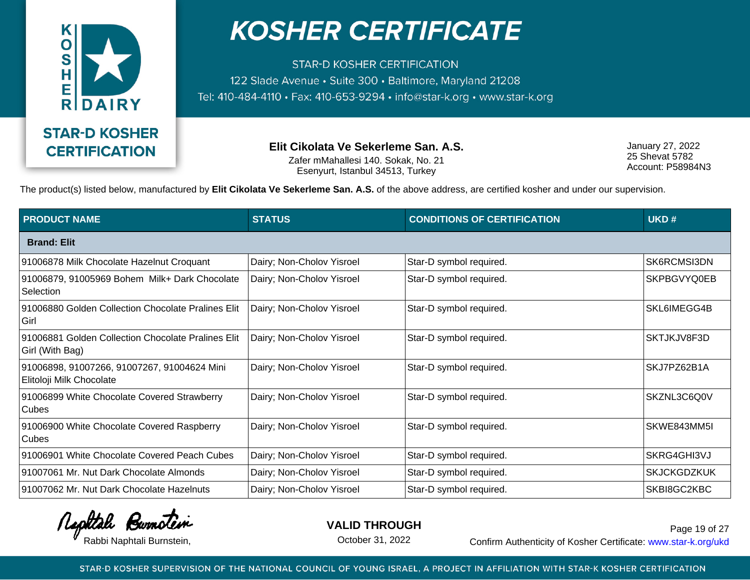

**STAR-D KOSHER CERTIFICATION** 122 Slade Avenue · Suite 300 · Baltimore, Maryland 21208 Tel: 410-484-4110 · Fax: 410-653-9294 · info@star-k.org · www.star-k.org

> **Elit Cikolata Ve Sekerleme San. A.S.** Zafer mMahallesi 140. Sokak, No. 21 Esenyurt, Istanbul 34513, Turkey

January 27, 2022 25 Shevat 5782 Account: P58984N3

The product(s) listed below, manufactured by **Elit Cikolata Ve Sekerleme San. A.S.** of the above address, are certified kosher and under our supervision.

| <b>PRODUCT NAME</b>                                                     | <b>STATUS</b>             | <b>CONDITIONS OF CERTIFICATION</b> | UKD#               |
|-------------------------------------------------------------------------|---------------------------|------------------------------------|--------------------|
| <b>Brand: Elit</b>                                                      |                           |                                    |                    |
| 91006878 Milk Chocolate Hazelnut Croquant                               | Dairy; Non-Cholov Yisroel | Star-D symbol required.            | SK6RCMSI3DN        |
| 91006879, 91005969 Bohem Milk+ Dark Chocolate<br>Selection              | Dairy; Non-Cholov Yisroel | Star-D symbol required.            | SKPBGVYQ0EB        |
| 91006880 Golden Collection Chocolate Pralines Elit<br>Girl              | Dairy; Non-Cholov Yisroel | Star-D symbol required.            | SKL6IMEGG4B        |
| 91006881 Golden Collection Chocolate Pralines Elit<br>Girl (With Bag)   | Dairy; Non-Cholov Yisroel | Star-D symbol required.            | SKTJKJV8F3D        |
| 91006898, 91007266, 91007267, 91004624 Mini<br>Elitoloji Milk Chocolate | Dairy; Non-Cholov Yisroel | Star-D symbol required.            | SKJ7PZ62B1A        |
| 91006899 White Chocolate Covered Strawberry<br><b>Cubes</b>             | Dairy; Non-Cholov Yisroel | Star-D symbol required.            | SKZNL3C6Q0V        |
| 91006900 White Chocolate Covered Raspberry<br>Cubes                     | Dairy; Non-Cholov Yisroel | Star-D symbol required.            | SKWE843MM5I        |
| 91006901 White Chocolate Covered Peach Cubes                            | Dairy; Non-Cholov Yisroel | Star-D symbol required.            | SKRG4GHI3VJ        |
| 91007061 Mr. Nut Dark Chocolate Almonds                                 | Dairy; Non-Cholov Yisroel | Star-D symbol required.            | <b>SKJCKGDZKUK</b> |
| 91007062 Mr. Nut Dark Chocolate Hazelnuts                               | Dairy; Non-Cholov Yisroel | Star-D symbol required.            | SKBI8GC2KBC        |

Rephtale Burnotein

**VALID THROUGH**

October 31, 2022

Rabbi Naphtali Burnstein, etc. Confirm Authenticity of Kosher Certificate: www.star-k.org/ukd Page 19 of 27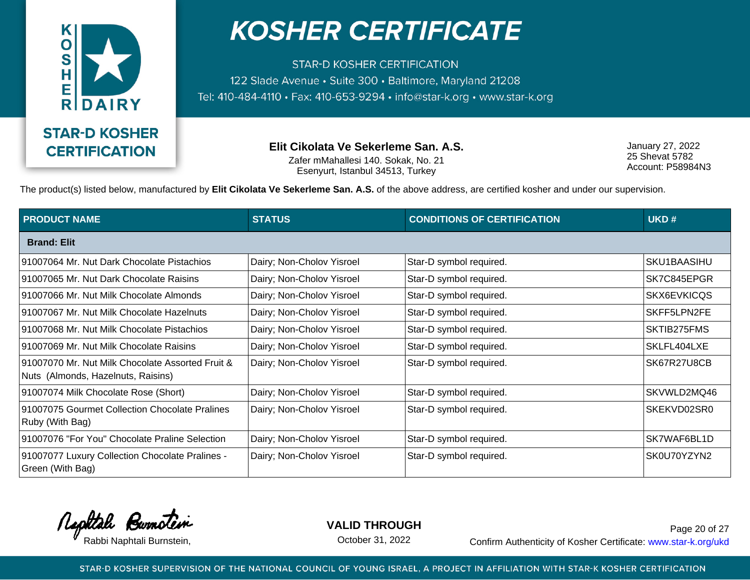

**STAR-D KOSHER CERTIFICATION** 122 Slade Avenue · Suite 300 · Baltimore, Maryland 21208 Tel: 410-484-4110 · Fax: 410-653-9294 · info@star-k.org · www.star-k.org

> **Elit Cikolata Ve Sekerleme San. A.S.** Zafer mMahallesi 140. Sokak, No. 21 Esenyurt, Istanbul 34513, Turkey

January 27, 2022 25 Shevat 5782 Account: P58984N3

The product(s) listed below, manufactured by **Elit Cikolata Ve Sekerleme San. A.S.** of the above address, are certified kosher and under our supervision.

| <b>PRODUCT NAME</b>                                                                    | <b>STATUS</b>             | <b>CONDITIONS OF CERTIFICATION</b> | UKD#        |
|----------------------------------------------------------------------------------------|---------------------------|------------------------------------|-------------|
| <b>Brand: Elit</b>                                                                     |                           |                                    |             |
| 91007064 Mr. Nut Dark Chocolate Pistachios                                             | Dairy; Non-Cholov Yisroel | Star-D symbol required.            | SKU1BAASIHU |
| 91007065 Mr. Nut Dark Chocolate Raisins                                                | Dairy; Non-Cholov Yisroel | Star-D symbol required.            | SK7C845EPGR |
| 91007066 Mr. Nut Milk Chocolate Almonds                                                | Dairy; Non-Cholov Yisroel | Star-D symbol required.            | SKX6EVKICQS |
| 91007067 Mr. Nut Milk Chocolate Hazelnuts                                              | Dairy; Non-Cholov Yisroel | Star-D symbol required.            | SKFF5LPN2FE |
| 91007068 Mr. Nut Milk Chocolate Pistachios                                             | Dairy; Non-Cholov Yisroel | Star-D symbol required.            | SKTIB275FMS |
| 91007069 Mr. Nut Milk Chocolate Raisins                                                | Dairy; Non-Cholov Yisroel | Star-D symbol required.            | SKLFL404LXE |
| 91007070 Mr. Nut Milk Chocolate Assorted Fruit &<br>Nuts (Almonds, Hazelnuts, Raisins) | Dairy; Non-Cholov Yisroel | Star-D symbol required.            | SK67R27U8CB |
| 91007074 Milk Chocolate Rose (Short)                                                   | Dairy; Non-Cholov Yisroel | Star-D symbol required.            | SKVWLD2MQ46 |
| 91007075 Gourmet Collection Chocolate Pralines<br>Ruby (With Bag)                      | Dairy; Non-Cholov Yisroel | Star-D symbol required.            | SKEKVD02SR0 |
| 91007076 "For You" Chocolate Praline Selection                                         | Dairy; Non-Cholov Yisroel | Star-D symbol required.            | SK7WAF6BL1D |
| 91007077 Luxury Collection Chocolate Pralines -<br>Green (With Bag)                    | Dairy; Non-Cholov Yisroel | Star-D symbol required.            | SK0U70YZYN2 |

Rephtale Burnotein

**VALID THROUGH**

October 31, 2022

Rabbi Naphtali Burnstein, etc. Confirm Authenticity of Kosher Certificate: www.star-k.org/ukd Page 20 of 27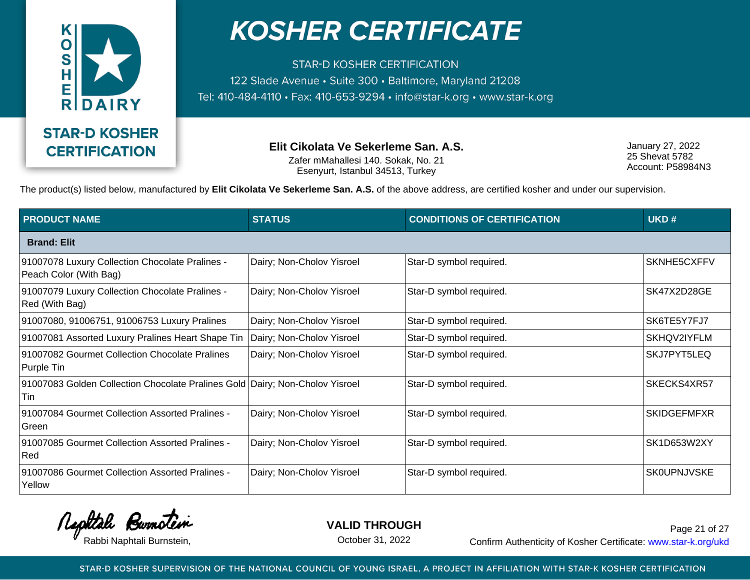

**STAR-D KOSHER CERTIFICATION** 122 Slade Avenue · Suite 300 · Baltimore, Maryland 21208 Tel: 410-484-4110 · Fax: 410-653-9294 · info@star-k.org · www.star-k.org

> **Elit Cikolata Ve Sekerleme San. A.S.** Zafer mMahallesi 140. Sokak, No. 21 Esenyurt, Istanbul 34513, Turkey

January 27, 2022 25 Shevat 5782 Account: P58984N3

The product(s) listed below, manufactured by **Elit Cikolata Ve Sekerleme San. A.S.** of the above address, are certified kosher and under our supervision.

| <b>PRODUCT NAME</b>                                                                 | <b>STATUS</b>             | <b>CONDITIONS OF CERTIFICATION</b> | UKD#               |
|-------------------------------------------------------------------------------------|---------------------------|------------------------------------|--------------------|
| <b>Brand: Elit</b>                                                                  |                           |                                    |                    |
| 91007078 Luxury Collection Chocolate Pralines -<br>Peach Color (With Bag)           | Dairy; Non-Cholov Yisroel | Star-D symbol required.            | SKNHE5CXFFV        |
| 91007079 Luxury Collection Chocolate Pralines -<br>Red (With Bag)                   | Dairy; Non-Cholov Yisroel | Star-D symbol required.            | SK47X2D28GE        |
| 91007080, 91006751, 91006753 Luxury Pralines                                        | Dairy; Non-Cholov Yisroel | Star-D symbol required.            | SK6TE5Y7FJ7        |
| 91007081 Assorted Luxury Pralines Heart Shape Tin                                   | Dairy; Non-Cholov Yisroel | Star-D symbol required.            | SKHQV2IYFLM        |
| 91007082 Gourmet Collection Chocolate Pralines<br>Purple Tin                        | Dairy; Non-Cholov Yisroel | Star-D symbol required.            | SKJ7PYT5LEQ        |
| 91007083 Golden Collection Chocolate Pralines Gold Dairy; Non-Cholov Yisroel<br>Tin |                           | Star-D symbol required.            | SKECKS4XR57        |
| 91007084 Gourmet Collection Assorted Pralines -<br>Green                            | Dairy; Non-Cholov Yisroel | Star-D symbol required.            | <b>SKIDGEFMFXR</b> |
| 91007085 Gourmet Collection Assorted Pralines -<br>Red                              | Dairy; Non-Cholov Yisroel | Star-D symbol required.            | SK1D653W2XY        |
| 91007086 Gourmet Collection Assorted Pralines -<br>Yellow                           | Dairy; Non-Cholov Yisroel | Star-D symbol required.            | <b>SK0UPNJVSKE</b> |

Rephtale Burnotein

**VALID THROUGH**

October 31, 2022

Rabbi Naphtali Burnstein, etc. Confirm Authenticity of Kosher Certificate: www.star-k.org/ukd Page 21 of 27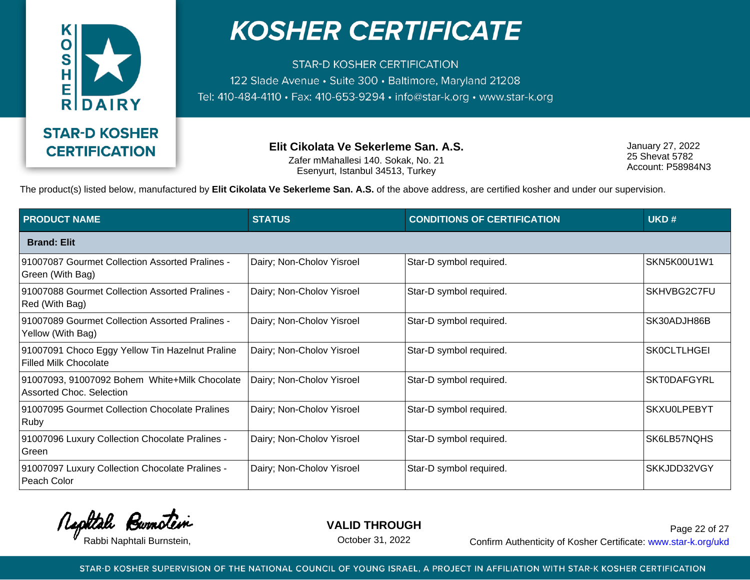

**STAR-D KOSHER CERTIFICATION** 122 Slade Avenue · Suite 300 · Baltimore, Maryland 21208 Tel: 410-484-4110 · Fax: 410-653-9294 · info@star-k.org · www.star-k.org

> **Elit Cikolata Ve Sekerleme San. A.S.** Zafer mMahallesi 140. Sokak, No. 21 Esenyurt, Istanbul 34513, Turkey

January 27, 2022 25 Shevat 5782 Account: P58984N3

The product(s) listed below, manufactured by **Elit Cikolata Ve Sekerleme San. A.S.** of the above address, are certified kosher and under our supervision.

| <b>PRODUCT NAME</b>                                                              | <b>STATUS</b>             | <b>CONDITIONS OF CERTIFICATION</b> | UKD#               |
|----------------------------------------------------------------------------------|---------------------------|------------------------------------|--------------------|
| <b>Brand: Elit</b>                                                               |                           |                                    |                    |
| 91007087 Gourmet Collection Assorted Pralines -<br>Green (With Bag)              | Dairy; Non-Cholov Yisroel | Star-D symbol required.            | SKN5K00U1W1        |
| 91007088 Gourmet Collection Assorted Pralines -<br>Red (With Bag)                | Dairy; Non-Cholov Yisroel | Star-D symbol required.            | SKHVBG2C7FU        |
| 91007089 Gourmet Collection Assorted Pralines -<br>Yellow (With Bag)             | Dairy; Non-Cholov Yisroel | Star-D symbol required.            | SK30ADJH86B        |
| 91007091 Choco Eggy Yellow Tin Hazelnut Praline<br><b>Filled Milk Chocolate</b>  | Dairy; Non-Cholov Yisroel | Star-D symbol required.            | <b>SK0CLTLHGEI</b> |
| 91007093, 91007092 Bohem White+Milk Chocolate<br><b>Assorted Choc. Selection</b> | Dairy; Non-Cholov Yisroel | Star-D symbol required.            | <b>SKT0DAFGYRL</b> |
| 91007095 Gourmet Collection Chocolate Pralines<br>Ruby                           | Dairy; Non-Cholov Yisroel | Star-D symbol required.            | <b>SKXU0LPEBYT</b> |
| 91007096 Luxury Collection Chocolate Pralines -<br>Green                         | Dairy; Non-Cholov Yisroel | Star-D symbol required.            | SK6LB57NQHS        |
| 91007097 Luxury Collection Chocolate Pralines -<br>Peach Color                   | Dairy; Non-Cholov Yisroel | Star-D symbol required.            | SKKJDD32VGY        |

Rephtale Burnotein

**VALID THROUGH**

October 31, 2022

Rabbi Naphtali Burnstein, etc. Confirm Authenticity of Kosher Certificate: www.star-k.org/ukd Page 22 of 27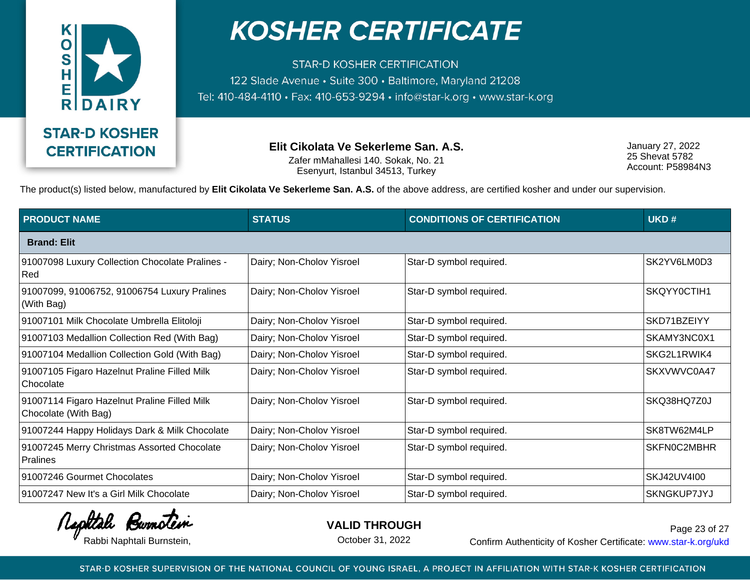

**STAR-D KOSHER CERTIFICATION** 122 Slade Avenue · Suite 300 · Baltimore, Maryland 21208 Tel: 410-484-4110 · Fax: 410-653-9294 · info@star-k.org · www.star-k.org

> **Elit Cikolata Ve Sekerleme San. A.S.** Zafer mMahallesi 140. Sokak, No. 21 Esenyurt, Istanbul 34513, Turkey

January 27, 2022 25 Shevat 5782 Account: P58984N3

The product(s) listed below, manufactured by **Elit Cikolata Ve Sekerleme San. A.S.** of the above address, are certified kosher and under our supervision.

| <b>PRODUCT NAME</b>                                                  | <b>STATUS</b>             | <b>CONDITIONS OF CERTIFICATION</b> | UKD#        |
|----------------------------------------------------------------------|---------------------------|------------------------------------|-------------|
| <b>Brand: Elit</b>                                                   |                           |                                    |             |
| 91007098 Luxury Collection Chocolate Pralines -<br>Red               | Dairy; Non-Cholov Yisroel | Star-D symbol required.            | SK2YV6LM0D3 |
| 91007099, 91006752, 91006754 Luxury Pralines<br>(With Bag)           | Dairy; Non-Cholov Yisroel | Star-D symbol required.            | SKQYY0CTIH1 |
| 91007101 Milk Chocolate Umbrella Elitoloji                           | Dairy; Non-Cholov Yisroel | Star-D symbol required.            | SKD71BZEIYY |
| 91007103 Medallion Collection Red (With Bag)                         | Dairy; Non-Cholov Yisroel | Star-D symbol required.            | SKAMY3NC0X1 |
| 91007104 Medallion Collection Gold (With Bag)                        | Dairy; Non-Cholov Yisroel | Star-D symbol required.            | SKG2L1RWIK4 |
| 91007105 Figaro Hazelnut Praline Filled Milk<br>Chocolate            | Dairy; Non-Cholov Yisroel | Star-D symbol required.            | SKXVWVC0A47 |
| 91007114 Figaro Hazelnut Praline Filled Milk<br>Chocolate (With Bag) | Dairy; Non-Cholov Yisroel | Star-D symbol required.            | SKQ38HQ7Z0J |
| 91007244 Happy Holidays Dark & Milk Chocolate                        | Dairy; Non-Cholov Yisroel | Star-D symbol required.            | SK8TW62M4LP |
| 91007245 Merry Christmas Assorted Chocolate<br>Pralines              | Dairy; Non-Cholov Yisroel | Star-D symbol required.            | SKFN0C2MBHR |
| 91007246 Gourmet Chocolates                                          | Dairy; Non-Cholov Yisroel | Star-D symbol required.            | SKJ42UV4I00 |
| 91007247 New It's a Girl Milk Chocolate                              | Dairy; Non-Cholov Yisroel | Star-D symbol required.            | SKNGKUP7JYJ |

Rephtale Burnotein

**VALID THROUGH**

October 31, 2022

Rabbi Naphtali Burnstein, etc. Confirm Authenticity of Kosher Certificate: www.star-k.org/ukd Page 23 of 27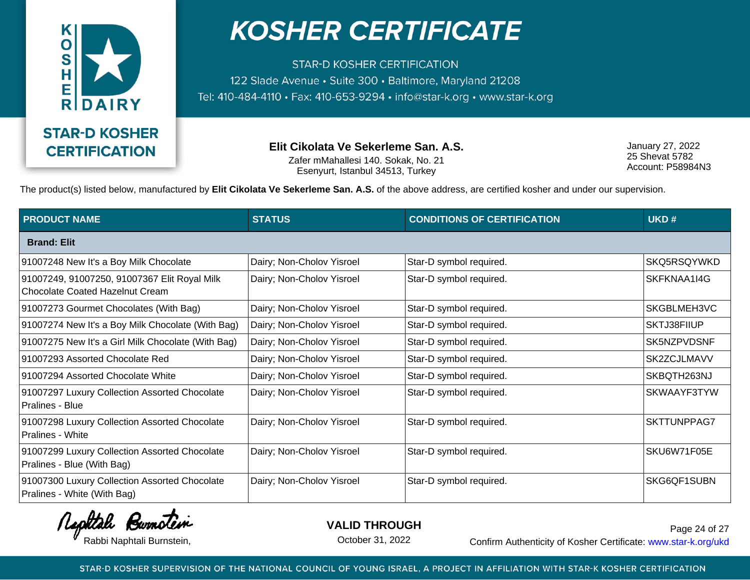

**STAR-D KOSHER CERTIFICATION** 122 Slade Avenue · Suite 300 · Baltimore, Maryland 21208 Tel: 410-484-4110 · Fax: 410-653-9294 · info@star-k.org · www.star-k.org

> **Elit Cikolata Ve Sekerleme San. A.S.** Zafer mMahallesi 140. Sokak, No. 21 Esenyurt, Istanbul 34513, Turkey

January 27, 2022 25 Shevat 5782 Account: P58984N3

The product(s) listed below, manufactured by **Elit Cikolata Ve Sekerleme San. A.S.** of the above address, are certified kosher and under our supervision.

| <b>PRODUCT NAME</b>                                                             | <b>STATUS</b>             | <b>CONDITIONS OF CERTIFICATION</b> | UKD#        |
|---------------------------------------------------------------------------------|---------------------------|------------------------------------|-------------|
| <b>Brand: Elit</b>                                                              |                           |                                    |             |
| 91007248 New It's a Boy Milk Chocolate                                          | Dairy; Non-Cholov Yisroel | Star-D symbol required.            | SKQ5RSQYWKD |
| 91007249, 91007250, 91007367 Elit Royal Milk<br>Chocolate Coated Hazelnut Cream | Dairy; Non-Cholov Yisroel | Star-D symbol required.            | SKFKNAA1I4G |
| 91007273 Gourmet Chocolates (With Bag)                                          | Dairy; Non-Cholov Yisroel | Star-D symbol required.            | SKGBLMEH3VC |
| 91007274 New It's a Boy Milk Chocolate (With Bag)                               | Dairy; Non-Cholov Yisroel | Star-D symbol required.            | SKTJ38FIIUP |
| 91007275 New It's a Girl Milk Chocolate (With Bag)                              | Dairy; Non-Cholov Yisroel | Star-D symbol required.            | SK5NZPVDSNF |
| 91007293 Assorted Chocolate Red                                                 | Dairy; Non-Cholov Yisroel | Star-D symbol required.            | SK2ZCJLMAVV |
| 91007294 Assorted Chocolate White                                               | Dairy; Non-Cholov Yisroel | Star-D symbol required.            | SKBQTH263NJ |
| 91007297 Luxury Collection Assorted Chocolate<br>Pralines - Blue                | Dairy; Non-Cholov Yisroel | Star-D symbol required.            | SKWAAYF3TYW |
| 91007298 Luxury Collection Assorted Chocolate<br><b>Pralines - White</b>        | Dairy; Non-Cholov Yisroel | Star-D symbol required.            | SKTTUNPPAG7 |
| 91007299 Luxury Collection Assorted Chocolate<br>Pralines - Blue (With Bag)     | Dairy; Non-Cholov Yisroel | Star-D symbol required.            | SKU6W71F05E |
| 91007300 Luxury Collection Assorted Chocolate<br>Pralines - White (With Bag)    | Dairy; Non-Cholov Yisroel | Star-D symbol required.            | SKG6QF1SUBN |

Rephtale Burnotein

**VALID THROUGH**

October 31, 2022

Rabbi Naphtali Burnstein, etc. Confirm Authenticity of Kosher Certificate: www.star-k.org/ukd Page 24 of 27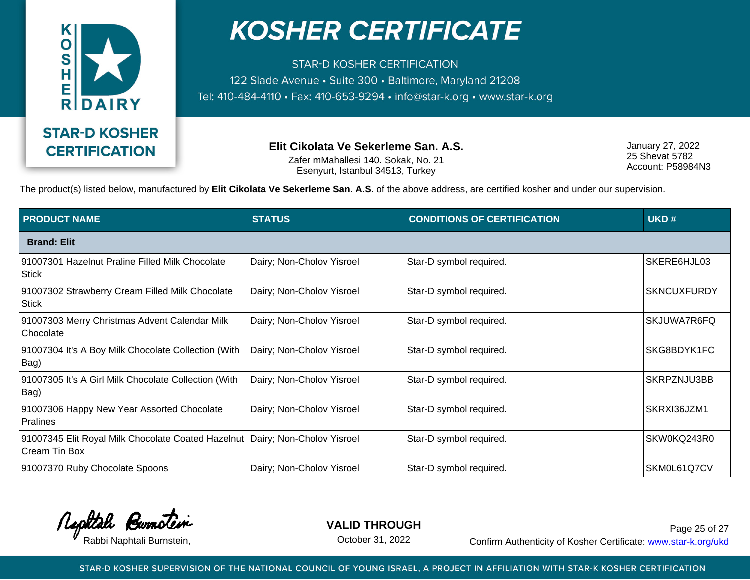

**STAR-D KOSHER CERTIFICATION** 122 Slade Avenue · Suite 300 · Baltimore, Maryland 21208 Tel: 410-484-4110 · Fax: 410-653-9294 · info@star-k.org · www.star-k.org

> **Elit Cikolata Ve Sekerleme San. A.S.** Zafer mMahallesi 140. Sokak, No. 21 Esenyurt, Istanbul 34513, Turkey

January 27, 2022 25 Shevat 5782 Account: P58984N3

The product(s) listed below, manufactured by **Elit Cikolata Ve Sekerleme San. A.S.** of the above address, are certified kosher and under our supervision.

| <b>PRODUCT NAME</b>                                                                           | <b>STATUS</b>             | <b>CONDITIONS OF CERTIFICATION</b> | UKD#               |  |  |  |
|-----------------------------------------------------------------------------------------------|---------------------------|------------------------------------|--------------------|--|--|--|
| <b>Brand: Elit</b>                                                                            |                           |                                    |                    |  |  |  |
| 91007301 Hazelnut Praline Filled Milk Chocolate<br><b>Stick</b>                               | Dairy; Non-Cholov Yisroel | Star-D symbol required.            | SKERE6HJL03        |  |  |  |
| 91007302 Strawberry Cream Filled Milk Chocolate<br><b>Stick</b>                               | Dairy; Non-Cholov Yisroel | Star-D symbol required.            | <b>SKNCUXFURDY</b> |  |  |  |
| 91007303 Merry Christmas Advent Calendar Milk<br>Chocolate                                    | Dairy; Non-Cholov Yisroel | Star-D symbol required.            | SKJUWA7R6FQ        |  |  |  |
| 91007304 It's A Boy Milk Chocolate Collection (With<br>Bag)                                   | Dairy; Non-Cholov Yisroel | Star-D symbol required.            | SKG8BDYK1FC        |  |  |  |
| 91007305 It's A Girl Milk Chocolate Collection (With<br>Bag)                                  | Dairy; Non-Cholov Yisroel | Star-D symbol required.            | SKRPZNJU3BB        |  |  |  |
| 91007306 Happy New Year Assorted Chocolate<br><b>Pralines</b>                                 | Dairy; Non-Cholov Yisroel | Star-D symbol required.            | SKRXI36JZM1        |  |  |  |
| 91007345 Elit Royal Milk Chocolate Coated Hazelnut Dairy; Non-Cholov Yisroel<br>Cream Tin Box |                           | Star-D symbol required.            | SKW0KQ243R0        |  |  |  |
| 91007370 Ruby Chocolate Spoons                                                                | Dairy; Non-Cholov Yisroel | Star-D symbol required.            | SKM0L61Q7CV        |  |  |  |

Rephtale Burnotein

**VALID THROUGH**

October 31, 2022

Rabbi Naphtali Burnstein, etc. Confirm Authenticity of Kosher Certificate: www.star-k.org/ukd Page 25 of 27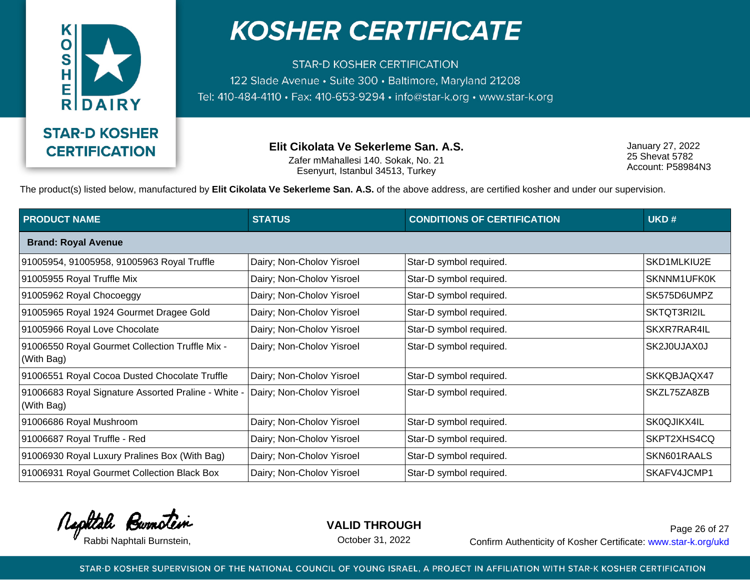

**STAR-D KOSHER CERTIFICATION** 122 Slade Avenue · Suite 300 · Baltimore, Maryland 21208 Tel: 410-484-4110 · Fax: 410-653-9294 · info@star-k.org · www.star-k.org

> **Elit Cikolata Ve Sekerleme San. A.S.** Zafer mMahallesi 140. Sokak, No. 21 Esenyurt, Istanbul 34513, Turkey

January 27, 2022 25 Shevat 5782 Account: P58984N3

The product(s) listed below, manufactured by **Elit Cikolata Ve Sekerleme San. A.S.** of the above address, are certified kosher and under our supervision.

| <b>PRODUCT NAME</b>                                               | <b>STATUS</b>             | <b>CONDITIONS OF CERTIFICATION</b> | UKD#        |  |  |
|-------------------------------------------------------------------|---------------------------|------------------------------------|-------------|--|--|
| <b>Brand: Royal Avenue</b>                                        |                           |                                    |             |  |  |
| 91005954, 91005958, 91005963 Royal Truffle                        | Dairy; Non-Cholov Yisroel | Star-D symbol required.            | SKD1MLKIU2E |  |  |
| 91005955 Royal Truffle Mix                                        | Dairy; Non-Cholov Yisroel | Star-D symbol required.            | SKNNM1UFK0K |  |  |
| 91005962 Royal Chocoeggy                                          | Dairy; Non-Cholov Yisroel | Star-D symbol required.            | SK575D6UMPZ |  |  |
| 91005965 Royal 1924 Gourmet Dragee Gold                           | Dairy; Non-Cholov Yisroel | Star-D symbol required.            | SKTQT3RI2IL |  |  |
| 91005966 Royal Love Chocolate                                     | Dairy; Non-Cholov Yisroel | Star-D symbol required.            | SKXR7RAR4IL |  |  |
| 91006550 Royal Gourmet Collection Truffle Mix -<br>(With Bag)     | Dairy; Non-Cholov Yisroel | Star-D symbol required.            | SK2J0UJAX0J |  |  |
| 91006551 Royal Cocoa Dusted Chocolate Truffle                     | Dairy; Non-Cholov Yisroel | Star-D symbol required.            | SKKQBJAQX47 |  |  |
| 91006683 Royal Signature Assorted Praline - White -<br>(With Bag) | Dairy; Non-Cholov Yisroel | Star-D symbol required.            | SKZL75ZA8ZB |  |  |
| 91006686 Royal Mushroom                                           | Dairy; Non-Cholov Yisroel | Star-D symbol required.            | SK0QJIKX4IL |  |  |
| 91006687 Royal Truffle - Red                                      | Dairy; Non-Cholov Yisroel | Star-D symbol required.            | SKPT2XHS4CQ |  |  |
| 91006930 Royal Luxury Pralines Box (With Bag)                     | Dairy; Non-Cholov Yisroel | Star-D symbol required.            | SKN601RAALS |  |  |
| 91006931 Royal Gourmet Collection Black Box                       | Dairy; Non-Cholov Yisroel | Star-D symbol required.            | SKAFV4JCMP1 |  |  |

Rephtale Burnotein

**VALID THROUGH**

October 31, 2022

Rabbi Naphtali Burnstein, etc. Confirm Authenticity of Kosher Certificate: www.star-k.org/ukd Page 26 of 27